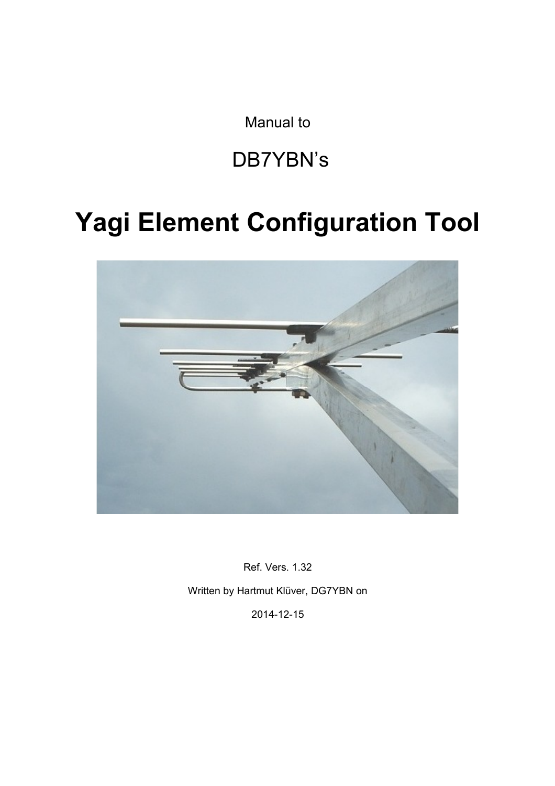Manual to

# DB7YBN's

# **Yagi Element Configuration Tool**



Ref. Vers. 1.32 Written by Hartmut Klüver, DG7YBN on

2014-12-15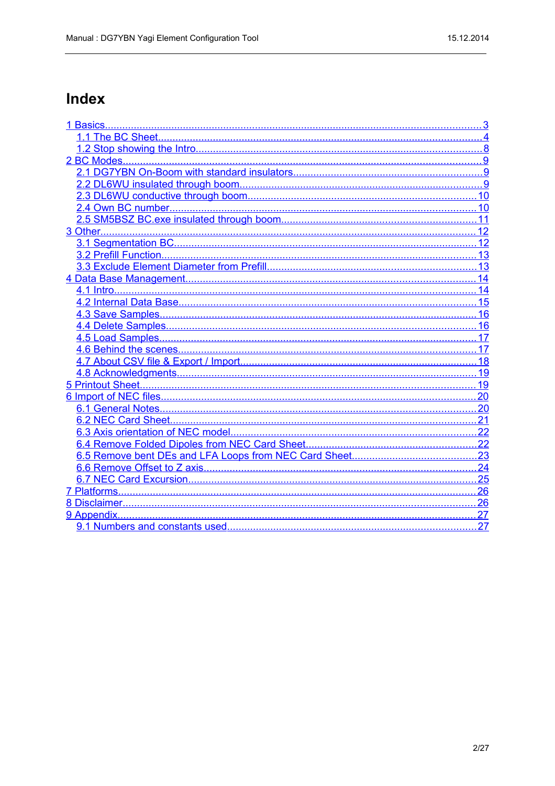# Index

| 27 |
|----|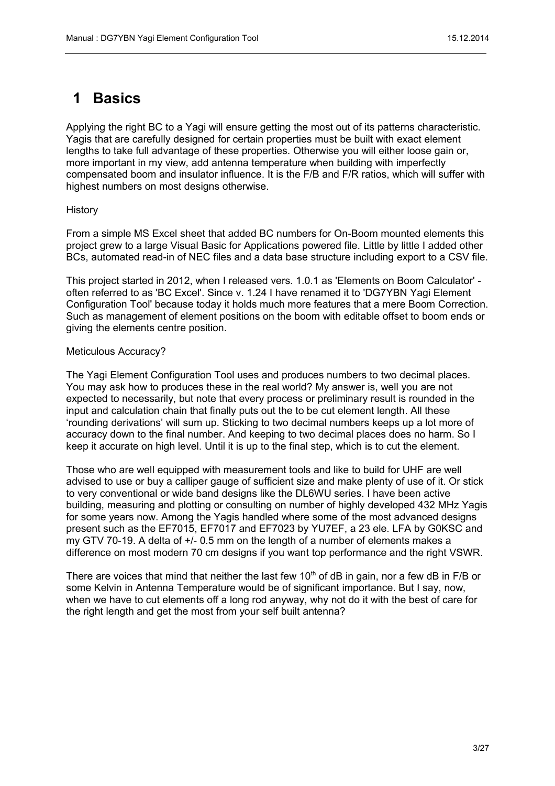# <span id="page-2-0"></span>**1 Basics**

Applying the right BC to a Yagi will ensure getting the most out of its patterns characteristic. Yagis that are carefully designed for certain properties must be built with exact element lengths to take full advantage of these properties. Otherwise you will either loose gain or, more important in my view, add antenna temperature when building with imperfectly compensated boom and insulator influence. It is the F/B and F/R ratios, which will suffer with highest numbers on most designs otherwise.

#### History

From a simple MS Excel sheet that added BC numbers for On-Boom mounted elements this project grew to a large Visual Basic for Applications powered file. Little by little I added other BCs, automated read-in of NEC files and a data base structure including export to a CSV file.

This project started in 2012, when I released vers. 1.0.1 as 'Elements on Boom Calculator' often referred to as 'BC Excel'. Since v. 1.24 I have renamed it to 'DG7YBN Yagi Element Configuration Tool' because today it holds much more features that a mere Boom Correction. Such as management of element positions on the boom with editable offset to boom ends or giving the elements centre position.

#### Meticulous Accuracy?

The Yagi Element Configuration Tool uses and produces numbers to two decimal places. You may ask how to produces these in the real world? My answer is, well you are not expected to necessarily, but note that every process or preliminary result is rounded in the input and calculation chain that finally puts out the to be cut element length. All these 'rounding derivations' will sum up. Sticking to two decimal numbers keeps up a lot more of accuracy down to the final number. And keeping to two decimal places does no harm. So I keep it accurate on high level. Until it is up to the final step, which is to cut the element.

Those who are well equipped with measurement tools and like to build for UHF are well advised to use or buy a calliper gauge of sufficient size and make plenty of use of it. Or stick to very conventional or wide band designs like the DL6WU series. I have been active building, measuring and plotting or consulting on number of highly developed 432 MHz Yagis for some years now. Among the Yagis handled where some of the most advanced designs present such as the EF7015, EF7017 and EF7023 by YU7EF, a 23 ele. LFA by G0KSC and my GTV 70-19. A delta of +/- 0.5 mm on the length of a number of elements makes a difference on most modern 70 cm designs if you want top performance and the right VSWR.

There are voices that mind that neither the last few 10<sup>th</sup> of dB in gain, nor a few dB in  $F/B$  or some Kelvin in Antenna Temperature would be of significant importance. But I say, now, when we have to cut elements off a long rod anyway, why not do it with the best of care for the right length and get the most from your self built antenna?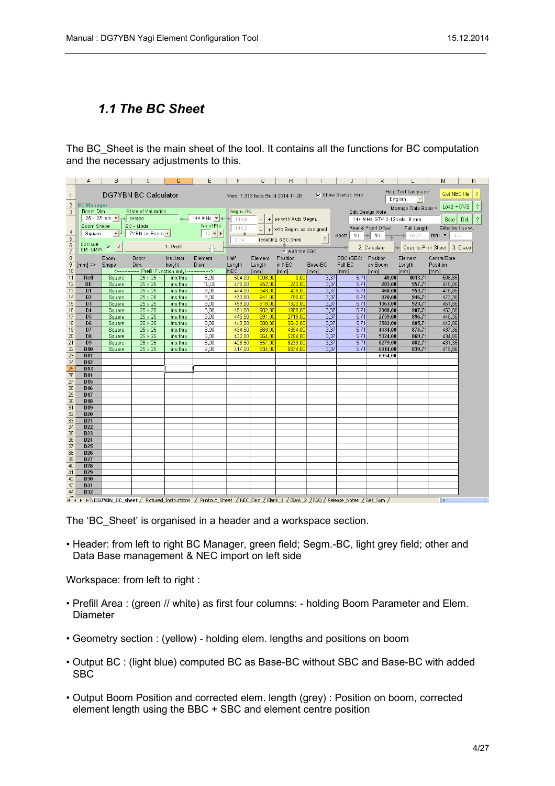## <span id="page-3-0"></span>*1.1 The BC Sheet*

The BC Sheet is the main sheet of the tool. It contains all the functions for BC computation and the necessary adjustments to this.

|                | Α                                  | B                                 | C                                                        | D                    | E                                                                                                                                    | F                | G                 | н                           |              | J                        | K.                          | L                                        | M                       | Ν                        |
|----------------|------------------------------------|-----------------------------------|----------------------------------------------------------|----------------------|--------------------------------------------------------------------------------------------------------------------------------------|------------------|-------------------|-----------------------------|--------------|--------------------------|-----------------------------|------------------------------------------|-------------------------|--------------------------|
| $\overline{1}$ |                                    |                                   | <b>DG7YBN BC Calculator</b>                              |                      |                                                                                                                                      |                  |                   |                             |              |                          |                             | Help Text Language<br>$\vert$<br>English | Get NEC file            | $\overline{\mathcal{E}}$ |
|                | 2 BC Manager<br>Boom Dim.          |                                   | State of Validation                                      |                      |                                                                                                                                      | Segm.-BC         |                   |                             |              |                          |                             | Manage Data Base > Load + CVS            |                         | $\overline{\phantom{a}}$ |
| 3              |                                    |                                   | $25 \times 25$ mm $\rightarrow$ $\rightarrow$ tested     |                      | $\left $ + 144 MHz $\left $ + +                                                                                                      | 144.6            |                   | + as with Auto Segm.        |              |                          | Edit Design Note            |                                          |                         |                          |
|                | Boom Shape                         |                                   | BC - Mode                                                |                      | No.of Ele.                                                                                                                           |                  |                   |                             |              |                          | 144 MHz GTV 2-12n ele. 8 mm |                                          | Save                    | $\mathcal{P}$<br>Del.    |
| $\overline{4}$ | Square                             | $-1$                              | 7YBN on Boom $\leftarrow$                                |                      | $12$ +                                                                                                                               | 144.2            |                   | $+$ with Segm. as designed  |              |                          | Rear & Front Offset         | Full Length                              | Effective true wL       |                          |
| 5              |                                    |                                   |                                                          |                      |                                                                                                                                      | 2,34             |                   | resulting SBC [mm]          | ?            | Boom $40 \rightarrow 40$ |                             | $\bullet$ 6954                           | $mm =$<br>3,31          |                          |
| 6              |                                    | Exclude<br>Ele. Diam. $\boxed{?}$ |                                                          | 1. Prefill           |                                                                                                                                      |                  |                   |                             |              |                          | 2. Calculate                | Copy to Print Sheet   3. Erase           |                         |                          |
| $\overline{7}$ |                                    |                                   |                                                          |                      | 凸                                                                                                                                    |                  |                   | $\triangledown$ Add the SBC |              |                          |                             |                                          |                         |                          |
| $\overline{8}$ |                                    | <b>Boom</b>                       | Boom                                                     | Insulator            | Element                                                                                                                              | Half             | Element           | Position                    |              | BBC+SBC: Position        |                             | Element                                  | Centre/Bore             |                          |
|                | $9$ [mm] => Shape                  |                                   | Dim.                                                     | height               | Diam.                                                                                                                                | Length           | Length            | in NEC                      | Base-BC      | Full BC                  | on Boom                     | Length                                   | Position                |                          |
| 10             |                                    |                                   | <---------------- Prefill Function only! --------------> |                      |                                                                                                                                      | NEC              | [mm]              | [mm]                        | [mm]         | [mm]                     | [mm]                        | [mm]                                     | [mm]                    |                          |
| 11<br>12       | Refl<br><b>DE</b>                  | Square<br>Square                  | 25 x 25<br>25 x 25                                       | ins.thru<br>ins.thru | 8.00<br>10.00                                                                                                                        | 504,00<br>476,00 | 1008,00<br>952,00 | 0.00<br>243,00              | 3,37<br>3,37 | 5,71<br>5,71             | 40.00<br>283,00             | 1013,71<br>957,71                        | 506,86<br>478,86        |                          |
| 13             | D <sub>1</sub>                     | Square                            | 25 x 25                                                  | ins.thru             | 8,00                                                                                                                                 | 474,00           | 948,00            | 428,00                      | 3,37         | 5,71                     | 468.00                      | 953,71                                   | 476,86                  |                          |
| 14             | D <sub>2</sub>                     | Square                            | 25 x 25                                                  | ins.thru             | 8,00                                                                                                                                 | 470,50           | 941.00            | 780,00                      | 3,37         | 5,71                     | 820.00                      | 946,71                                   | 473,36                  |                          |
| 15             | D <sub>3</sub>                     | Square                            | 25 x 25                                                  | ins.thru             | 8.00                                                                                                                                 | 459.00           | 918.00            | 1323.00                     | 3,37         | 5,71                     | 1363.00                     | 923.71                                   | 461,86                  |                          |
| 16             | D <sub>4</sub>                     | Square                            | 25 x 25                                                  | ins.thru             | 8.00                                                                                                                                 | 451,00           | 902.00            | 1968.00                     | 3,37         | 5,71                     | 2008.00                     | 907.71                                   | 453.86                  |                          |
| 17             | D <sub>5</sub>                     | Square                            | 25 x 25                                                  | ins.thru             | 8.00                                                                                                                                 | 445.50           | 891.00            | 2719.00                     | 3,37         | 5,71                     | 2759.00                     | 896.71                                   | 448.36                  |                          |
| 18             | D <sub>6</sub>                     | Square                            | 25 x 25                                                  | ins.thru             | 8,00                                                                                                                                 | 440,00           | 880.00            | 3542,00                     | 3,37         | 5.71                     | 3582,00                     | 885,71                                   | 442,86                  |                          |
| 19             | D7                                 | Square                            | 25 x 25                                                  | ins.thru             | 8,00                                                                                                                                 | 434,50           | 869.00            | 4394,00                     | 3,37         | 5,71                     | 4434,00                     | 874,71                                   | 437,36                  |                          |
| 20             | D <sub>8</sub>                     | Square                            | 25 x 25                                                  | ins.thru             | 8,00                                                                                                                                 | 432,00           | 864,00            | 5284,00                     | 3,37         | 5.71                     | 5324,00                     | 869.71                                   | 434.86                  |                          |
| 21             | D <sub>9</sub>                     | Square                            | 25 x 25                                                  | ins.thru             | 8.00                                                                                                                                 | 428,50           | 857,00            | 6239,00                     | 3,37         | 5,71                     | 6279,00                     | 862,71                                   | 431,36                  |                          |
| 22             | D <sub>10</sub>                    | Square                            | 25 x 25                                                  | ins.thru             | 6.00                                                                                                                                 | 417.00           | 834,00            | 6874.00                     | 3.37         | 5.71                     | 6914.00                     | 839.71                                   | 419,86                  |                          |
| 23             | D <sub>11</sub><br>D <sub>12</sub> |                                   |                                                          |                      |                                                                                                                                      |                  |                   |                             |              |                          | 6954.00                     |                                          |                         |                          |
| 24<br>25       | D <sub>13</sub>                    |                                   |                                                          |                      |                                                                                                                                      |                  |                   |                             |              |                          |                             |                                          |                         |                          |
| 26             | D <sub>14</sub>                    |                                   |                                                          |                      |                                                                                                                                      |                  |                   |                             |              |                          |                             |                                          |                         |                          |
| 27             | D <sub>15</sub>                    |                                   |                                                          |                      |                                                                                                                                      |                  |                   |                             |              |                          |                             |                                          |                         |                          |
| 28             | D <sub>16</sub>                    |                                   |                                                          |                      |                                                                                                                                      |                  |                   |                             |              |                          |                             |                                          |                         |                          |
| 29             | <b>D17</b>                         |                                   |                                                          |                      |                                                                                                                                      |                  |                   |                             |              |                          |                             |                                          |                         |                          |
| 30             | D <sub>18</sub>                    |                                   |                                                          |                      |                                                                                                                                      |                  |                   |                             |              |                          |                             |                                          |                         |                          |
| 31             | D <sub>19</sub>                    |                                   |                                                          |                      |                                                                                                                                      |                  |                   |                             |              |                          |                             |                                          |                         |                          |
| 32             | D <sub>20</sub>                    |                                   |                                                          |                      |                                                                                                                                      |                  |                   |                             |              |                          |                             |                                          |                         |                          |
| 33<br>34       | D <sub>21</sub><br><b>D22</b>      |                                   |                                                          |                      |                                                                                                                                      |                  |                   |                             |              |                          |                             |                                          |                         |                          |
| 35             | D <sub>23</sub>                    |                                   |                                                          |                      |                                                                                                                                      |                  |                   |                             |              |                          |                             |                                          |                         |                          |
| 36             | D <sub>24</sub>                    |                                   |                                                          |                      |                                                                                                                                      |                  |                   |                             |              |                          |                             |                                          |                         |                          |
| 37             | D <sub>25</sub>                    |                                   |                                                          |                      |                                                                                                                                      |                  |                   |                             |              |                          |                             |                                          |                         |                          |
| 38             | D <sub>26</sub>                    |                                   |                                                          |                      |                                                                                                                                      |                  |                   |                             |              |                          |                             |                                          |                         |                          |
| 39             | <b>D27</b>                         |                                   |                                                          |                      |                                                                                                                                      |                  |                   |                             |              |                          |                             |                                          |                         |                          |
| 40             | D28                                |                                   |                                                          |                      |                                                                                                                                      |                  |                   |                             |              |                          |                             |                                          |                         |                          |
| 41             | D <sub>29</sub>                    |                                   |                                                          |                      |                                                                                                                                      |                  |                   |                             |              |                          |                             |                                          |                         |                          |
| 42             | D30                                |                                   |                                                          |                      |                                                                                                                                      |                  |                   |                             |              |                          |                             |                                          |                         |                          |
| 43             | D31                                |                                   |                                                          |                      |                                                                                                                                      |                  |                   |                             |              |                          |                             |                                          |                         |                          |
| 44<br>$\sim$   | D32                                |                                   |                                                          |                      |                                                                                                                                      |                  |                   |                             |              |                          |                             |                                          |                         |                          |
|                |                                    |                                   |                                                          |                      | It (+ + + N DG7YBN_BC_sheet / Pictured_Instructions / Printout_Sheet / NEC_Card / Blank_1 / Blank_2 /FAQ / Release_Notes / Get_Sym / |                  |                   |                             |              |                          |                             |                                          | $\overline{\mathbf{K}}$ |                          |

The 'BC\_Sheet' is organised in a header and a workspace section.

• Header: from left to right BC Manager, green field; Segm.-BC, light grey field; other and Data Base management & NEC import on left side

Workspace: from left to right :

- Prefill Area : (green // white) as first four columns: holding Boom Parameter and Elem. Diameter
- Geometry section : (yellow) holding elem. lengths and positions on boom
- Output BC : (light blue) computed BC as Base-BC without SBC and Base-BC with added SBC
- Output Boom Position and corrected elem. length (grey) : Position on boom, corrected element length using the BBC + SBC and element centre position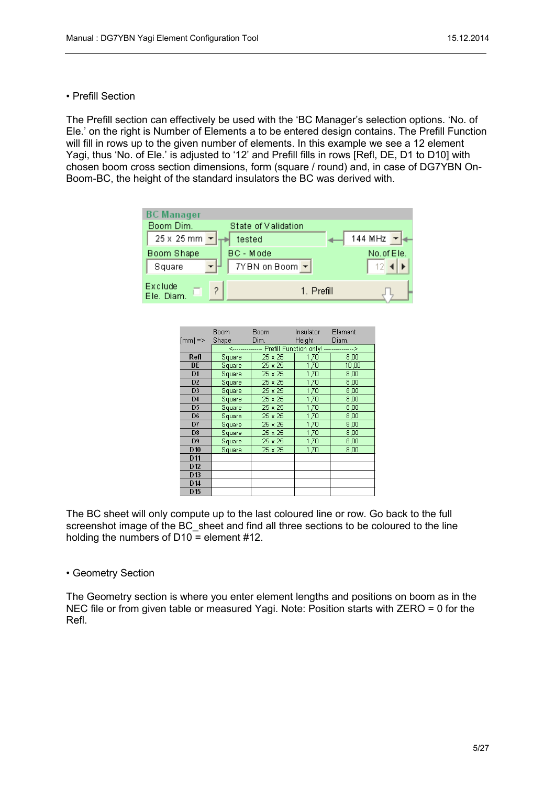• Prefill Section

The Prefill section can effectively be used with the 'BC Manager's selection options. 'No. of Ele.' on the right is Number of Elements a to be entered design contains. The Prefill Function will fill in rows up to the given number of elements. In this example we see a 12 element Yagi, thus 'No. of Ele.' is adjusted to '12' and Prefill fills in rows [Refl, DE, D1 to D10] with chosen boom cross section dimensions, form (square / round) and, in case of DG7YBN On-Boom-BC, the height of the standard insulators the BC was derived with.

| <b>BC Manager</b>     |                              |            |
|-----------------------|------------------------------|------------|
| Boom Dim.             | State of Validation          |            |
| 25 x 25 mm -          | tested                       | 144 MHz    |
| Boom Shape            | <b>BC</b> - Mode             | No.of Ele. |
| Square                | $7YBN$ on Boom $\rightarrow$ |            |
| Exclude<br>Ele. Diam. | 1. Prefill                   |            |

|                    | Boom   | Boom                                                      | Insulator     | Element |
|--------------------|--------|-----------------------------------------------------------|---------------|---------|
| $[mm] \Rightarrow$ | Shape  | Dim.                                                      | <b>Height</b> | Diam.   |
|                    |        | <---------------- Prefill Function only! ---------------> |               |         |
| Refl               | Square | 25 x 25                                                   | 1,70          | 8,00    |
| DE                 | Square | 25 x 25                                                   | 1,70          | 10,00   |
| D <sub>1</sub>     | Square | 25 x 25                                                   | 1,70          | 8,00    |
| D <sub>2</sub>     | Square | 25 x 25                                                   | 1,70          | 8,00    |
| D <sub>3</sub>     | Square | 25 x 25                                                   | 1,70          | 8,00    |
| D <sub>4</sub>     | Square | 25 x 25                                                   | 1,70          | 8,00    |
| D <sub>5</sub>     | Square | 25 x 25                                                   | 1,70          | 8,00    |
| D <sub>6</sub>     | Square | 25 x 25                                                   | 1,70          | 8,00    |
| D7                 | Square | 25 x 25                                                   | 1,70          | 8,00    |
| D <sub>8</sub>     | Square | 25 x 25                                                   | 1,70          | 8,00    |
| D <sub>9</sub>     | Square | 25 x 25                                                   | 1,70          | 8,00    |
| D <sub>10</sub>    | Square | 25 x 25                                                   | 1,70          | 8,00    |
| D <sub>11</sub>    |        |                                                           |               |         |
| D <sub>12</sub>    |        |                                                           |               |         |
| D <sub>13</sub>    |        |                                                           |               |         |
| D <sub>14</sub>    |        |                                                           |               |         |
| D <sub>15</sub>    |        |                                                           |               |         |

The BC sheet will only compute up to the last coloured line or row. Go back to the full screenshot image of the BC sheet and find all three sections to be coloured to the line holding the numbers of D10 = element #12.

• Geometry Section

The Geometry section is where you enter element lengths and positions on boom as in the NEC file or from given table or measured Yagi. Note: Position starts with ZERO = 0 for the Refl.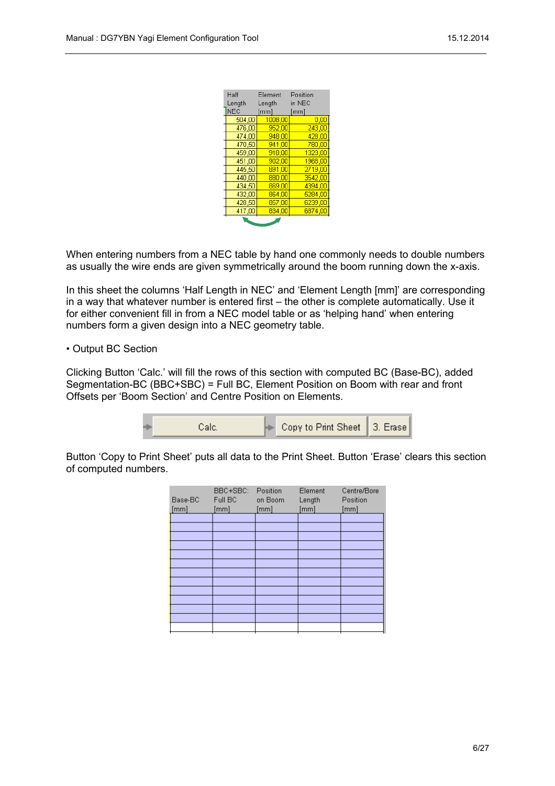| Half       | Element | Position |
|------------|---------|----------|
| Length     | Length  | in NEC   |
| <b>NEC</b> | [mm]    | [mm]     |
| 504.00     | 1008,00 | 0.00     |
| 476,00     | 952.00  | 243,00   |
| 474.00     | 948,00  | 428.00   |
| 470.50     | 941,00  | 780,00   |
| 459.00     | 918.00  | 1323.00  |
| 451,00     | 902.00  | 1968,00  |
| 445,50     | 891,00  | 2719,00  |
| 440,00     | 880.00  | 3542.00  |
| 434,50     | 869,00  | 4394,00  |
| 432.00     | 864,00  | 5284,00  |
| 428,50     | 857,00  | 6239.00  |
| 417,00     | 834,00  | 6874,00  |
|            |         |          |

When entering numbers from a NEC table by hand one commonly needs to double numbers as usually the wire ends are given symmetrically around the boom running down the x-axis.

In this sheet the columns 'Half Length in NEC' and 'Element Length [mm]' are corresponding in a way that whatever number is entered first – the other is complete automatically. Use it for either convenient fill in from a NEC model table or as 'helping hand' when entering numbers form a given design into a NEC geometry table.

#### • Output BC Section

Clicking Button 'Calc.' will fill the rows of this section with computed BC (Base-BC), added Segmentation-BC (BBC+SBC) = Full BC, Element Position on Boom with rear and front Offsets per 'Boom Section' and Centre Position on Elements.

| Copy to Print Sheet   3. Erase |
|--------------------------------|
|--------------------------------|

Button 'Copy to Print Sheet' puts all data to the Print Sheet. Button 'Erase' clears this section of computed numbers.

| Base-BC<br>[mm] | BBC+SBC:<br>Full BC<br>[mm] | Position<br>on Boom<br>[mm] | Element<br>Length<br>[mm] | Centre/Bore<br>Position<br>[mm] |
|-----------------|-----------------------------|-----------------------------|---------------------------|---------------------------------|
|                 |                             |                             |                           |                                 |
|                 |                             |                             |                           |                                 |
|                 |                             |                             |                           |                                 |
|                 |                             |                             |                           |                                 |
|                 |                             |                             |                           |                                 |
|                 |                             |                             |                           |                                 |
|                 |                             |                             |                           |                                 |
|                 |                             |                             |                           |                                 |
|                 |                             |                             |                           |                                 |
|                 |                             |                             |                           |                                 |
|                 |                             |                             |                           |                                 |
|                 |                             |                             |                           |                                 |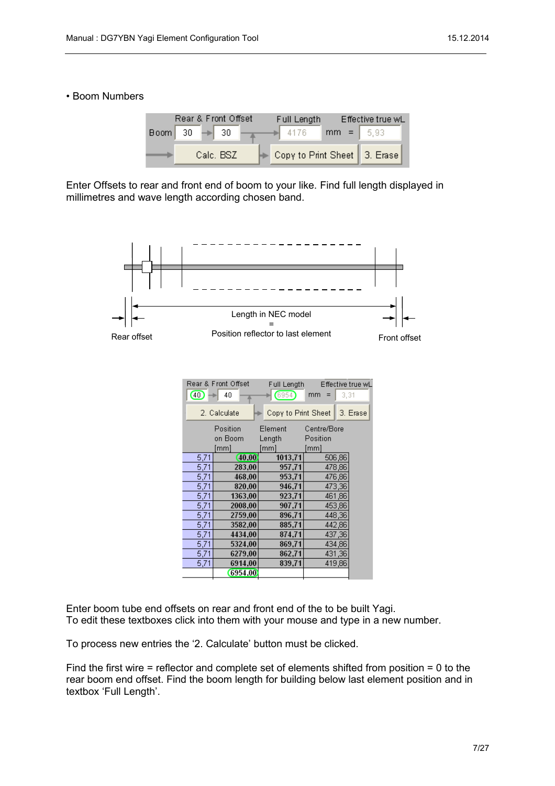#### • Boom Numbers

|                  | Rear & Front Offset | Full Length                    |             | Effective true wL |
|------------------|---------------------|--------------------------------|-------------|-------------------|
| $\text{Boom}$ 30 | $\Rightarrow$ 30    | 4176                           | $mm = 6.93$ |                   |
|                  | Calc. BSZ           | Copy to Print Sheet   3. Erase |             |                   |

Enter Offsets to rear and front end of boom to your like. Find full length displayed in millimetres and wave length according chosen band.



| ത⊹   | Rear & Front Offset<br>40 | Full Length<br>6954) | Effective true wl<br>3,31<br>mm |  |
|------|---------------------------|----------------------|---------------------------------|--|
|      | 2. Calculate              | Copy to Print Sheet  | 3. Erase                        |  |
|      | Position                  | Element              | Centre/Bore                     |  |
|      | on Boom                   | Length               | Position                        |  |
|      | [mm]                      | ˈmm]                 | [mm]                            |  |
| 5.71 | [40.00]                   | 1013.71              | 506,86                          |  |
| 5,71 | 283.00                    | 957.71               | 478,86                          |  |
| 5.71 | 468,00                    | 953,71               | 476,86                          |  |
| 5,71 | 820,00                    | 946,71               | 473,36                          |  |
| 5,71 | 1363.00                   | 923,71               | 461,86                          |  |
| 5,71 | 2008,00                   | 907,71               | 453,86                          |  |
| 5,71 | 2759,00                   | 896,71               | 448,36                          |  |
| 5.71 | 3582.00                   | 885,71               | 442.86                          |  |
| 5,71 | 4434,00                   | 874,71               | 437,36                          |  |
| 5,71 | 5324,00                   | 869.71               | 434,86                          |  |
| 5,71 | 6279,00                   | 862,71               | 431,36                          |  |
| 5,71 | 6914.00                   | 839,71               | 419,86                          |  |
|      | 6954.00                   |                      |                                 |  |

Enter boom tube end offsets on rear and front end of the to be built Yagi. To edit these textboxes click into them with your mouse and type in a new number.

To process new entries the '2. Calculate' button must be clicked.

Find the first wire = reflector and complete set of elements shifted from position = 0 to the rear boom end offset. Find the boom length for building below last element position and in textbox 'Full Length'.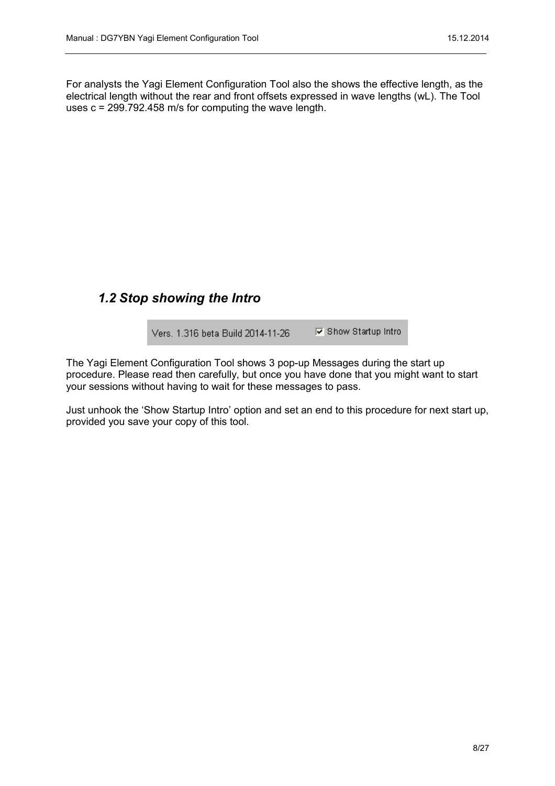For analysts the Yagi Element Configuration Tool also the shows the effective length, as the electrical length without the rear and front offsets expressed in wave lengths (wL). The Tool uses c = 299.792.458 m/s for computing the wave length.

#### <span id="page-7-0"></span>*1.2 Stop showing the Intro*

**▽** Show Startup Intro Vers. 1.316 beta Build 2014-11-26

The Yagi Element Configuration Tool shows 3 pop-up Messages during the start up procedure. Please read then carefully, but once you have done that you might want to start your sessions without having to wait for these messages to pass.

Just unhook the 'Show Startup Intro' option and set an end to this procedure for next start up, provided you save your copy of this tool.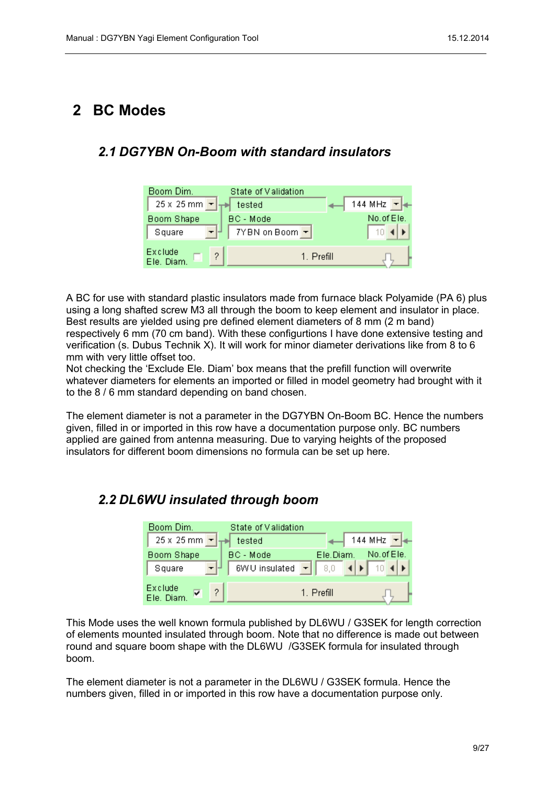## <span id="page-8-2"></span>**2 BC Modes**

#### <span id="page-8-1"></span>*2.1 DG7YBN On-Boom with standard insulators*

| Boom Dim.                       | State of Validation          |                       |
|---------------------------------|------------------------------|-----------------------|
| $25 \times 25$ mm $\frac{1}{2}$ | tested                       | 144 MHz $\rightarrow$ |
| Boom Shape                      | <b>BC</b> - Mode             | No. of Ele.           |
| Square                          | $7YBN$ on Boom $\rightarrow$ |                       |
|                                 |                              |                       |
| Exclude<br>Ele. Diam.           | 1. Prefill                   |                       |

A BC for use with standard plastic insulators made from furnace black Polyamide (PA 6) plus using a long shafted screw M3 all through the boom to keep element and insulator in place. Best results are yielded using pre defined element diameters of 8 mm (2 m band) respectively 6 mm (70 cm band). With these configurtions I have done extensive testing and verification (s. Dubus Technik X). It will work for minor diameter derivations like from 8 to 6 mm with very little offset too.

Not checking the 'Exclude Ele. Diam' box means that the prefill function will overwrite whatever diameters for elements an imported or filled in model geometry had brought with it to the 8 / 6 mm standard depending on band chosen.

The element diameter is not a parameter in the DG7YBN On-Boom BC. Hence the numbers given, filled in or imported in this row have a documentation purpose only. BC numbers applied are gained from antenna measuring. Due to varying heights of the proposed insulators for different boom dimensions no formula can be set up here.

## <span id="page-8-0"></span>*2.2 DL6WU insulated through boom*

| Boom Dim.                    | State of Validation |            |                |            |
|------------------------------|---------------------|------------|----------------|------------|
| $25 \times 25$ mm $\text{-}$ | tested              |            | 144 MHz $\sim$ |            |
| Boom Shape                   | BC - Mode           | Ele.Diam.  |                | No.of Ele. |
| Square                       | 6WU insulated       |            |                |            |
| Exclude<br>2<br>Ele, Diam.   |                     | 1. Prefill |                |            |

This Mode uses the well known formula published by DL6WU / G3SEK for length correction of elements mounted insulated through boom. Note that no difference is made out between round and square boom shape with the DL6WU /G3SEK formula for insulated through boom.

The element diameter is not a parameter in the DL6WU / G3SEK formula. Hence the numbers given, filled in or imported in this row have a documentation purpose only.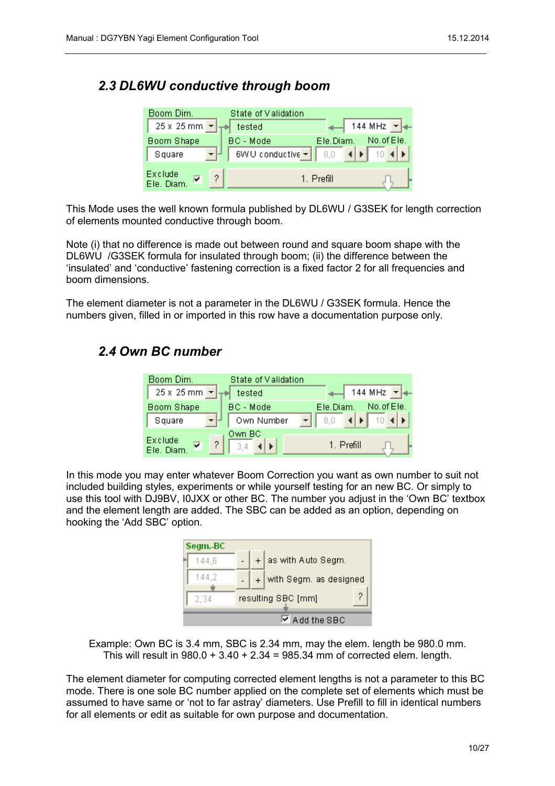## <span id="page-9-1"></span>*2.3 DL6WU conductive through boom*

| Boom Dim.                                  | State of Validation         |                       |             |
|--------------------------------------------|-----------------------------|-----------------------|-------------|
| $25 \times 25$ mm $\vert \mathbf{r} \vert$ | tested                      | 144 MHz $\rightarrow$ |             |
| Boom Shape                                 | BC - Mode                   | Ele Diam.             | No. of Ele. |
| $-1$<br>Square                             | 6WU conductive $\mathbf{v}$ | 8,0                   |             |
| Exclude<br>Ω<br>Ele, Diam.                 |                             | 1. Prefill            |             |

This Mode uses the well known formula published by DL6WU / G3SEK for length correction of elements mounted conductive through boom.

Note (i) that no difference is made out between round and square boom shape with the DL6WU /G3SEK formula for insulated through boom; (ii) the difference between the 'insulated' and 'conductive' fastening correction is a fixed factor 2 for all frequencies and boom dimensions.

The element diameter is not a parameter in the DL6WU / G3SEK formula. Hence the numbers given, filled in or imported in this row have a documentation purpose only.

#### <span id="page-9-0"></span>*2.4 Own BC number*

| Boom Dim.                       | State of Validation |                         |
|---------------------------------|---------------------|-------------------------|
| $25 \times 25$ mm $\rightarrow$ | tested              | 144 MHz $\rightarrow$   |
| Boom Shape                      | BC - Mode           | No.of Ele.<br>Ele.Diam. |
| Square                          | Own Number          |                         |
| Exclude<br>2<br>Ele. Diam       | Own BC              | 1. Prefill              |

In this mode you may enter whatever Boom Correction you want as own number to suit not included building styles, experiments or while yourself testing for an new BC. Or simply to use this tool with DJ9BV, I0JXX or other BC. The number you adjust in the 'Own BC' textbox and the element length are added. The SBC can be added as an option, depending on hooking the 'Add SBC' option.

| Segm.-BC |  |                             |   |
|----------|--|-----------------------------|---|
| 144.6    |  | $+$ as with Auto Segm.      |   |
| 144.2    |  | with Segm. as designed      |   |
| 2.34     |  | resulting SBC [mm]          | 2 |
|          |  | $\triangledown$ Add the SBC |   |

Example: Own BC is 3.4 mm, SBC is 2.34 mm, may the elem. length be 980.0 mm. This will result in  $980.0 + 3.40 + 2.34 = 985.34$  mm of corrected elem. length.

The element diameter for computing corrected element lengths is not a parameter to this BC mode. There is one sole BC number applied on the complete set of elements which must be assumed to have same or 'not to far astray' diameters. Use Prefill to fill in identical numbers for all elements or edit as suitable for own purpose and documentation.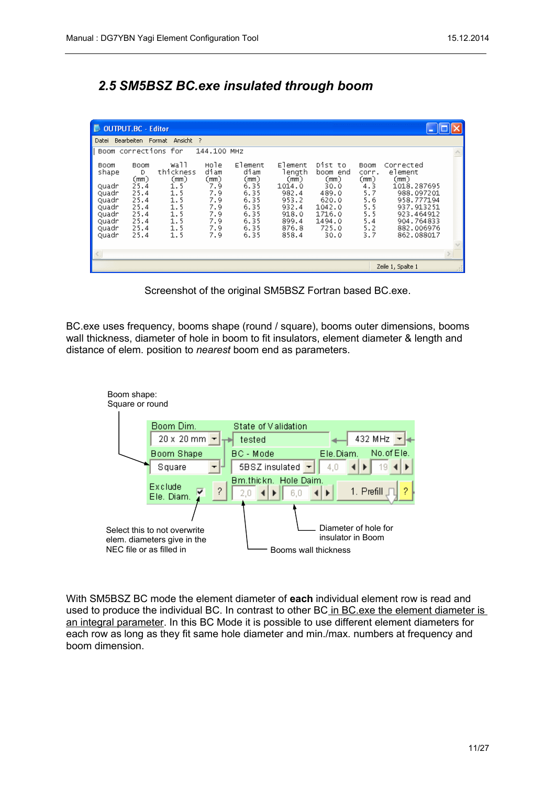# <span id="page-10-0"></span>*2.5 SM5BSZ BC.exe insulated through boom*

| <b>D</b> OUTPUT.BC - Editor                                                           |                                                                                   |                                                                                   |                                                                              |                                                                                         |                                                                                                    |                                                                                                      |                                                                               |                                                                                                                                               |  |
|---------------------------------------------------------------------------------------|-----------------------------------------------------------------------------------|-----------------------------------------------------------------------------------|------------------------------------------------------------------------------|-----------------------------------------------------------------------------------------|----------------------------------------------------------------------------------------------------|------------------------------------------------------------------------------------------------------|-------------------------------------------------------------------------------|-----------------------------------------------------------------------------------------------------------------------------------------------|--|
| Datei                                                                                 |                                                                                   | Bearbeiten Format Ansicht ?                                                       |                                                                              |                                                                                         |                                                                                                    |                                                                                                      |                                                                               |                                                                                                                                               |  |
|                                                                                       |                                                                                   | Boom corrections for                                                              | 144.100 MHZ                                                                  |                                                                                         |                                                                                                    |                                                                                                      |                                                                               |                                                                                                                                               |  |
| Boom<br>shape<br>Quadr<br>Quadr<br>Ouadr<br>Quadr<br>Ouadr<br>Quadr<br>Quadr<br>Quadr | Boom<br>D<br>(mm)<br>25.4<br>25.4<br>25.4<br>25.4<br>25.4<br>25.4<br>25.4<br>25.4 | wall<br>thickness<br>(mm)<br>1.5<br>1.5<br>1.5<br>1.5<br>1.5<br>1.5<br>1.5<br>1.5 | Hole<br>diam<br>(mm)<br>7.9<br>7.9<br>7.9<br>7.9<br>7.9<br>7.9<br>7.9<br>7.9 | Element<br>diam<br>(mm)<br>6.35<br>6.35<br>6.35<br>6.35<br>6.35<br>6.35<br>6.35<br>6.35 | Element<br>lenath<br>(mm)<br>1014.0<br>982.4<br>953.2<br>932.4<br>918.0<br>899.4<br>876.8<br>858.4 | Dist to<br>boom end<br>(mm)<br>30.0<br>489.0<br>620.0<br>1042.0<br>1716.0<br>1494.0<br>725.0<br>30.0 | Boom<br>corr.<br>(mm)<br>4.3<br>5.7<br>5.6<br>5.5<br>5.5<br>5.4<br>5.2<br>3.7 | Corrected<br>element<br>(mm)<br>1018.287695<br>988.097201<br>958.777194<br>937.913251<br>923.464912<br>904.764833<br>882.006976<br>862.088017 |  |
|                                                                                       |                                                                                   |                                                                                   |                                                                              |                                                                                         |                                                                                                    |                                                                                                      |                                                                               |                                                                                                                                               |  |
|                                                                                       |                                                                                   |                                                                                   |                                                                              |                                                                                         |                                                                                                    |                                                                                                      |                                                                               | Zeile 1, Spalte 1                                                                                                                             |  |

Screenshot of the original SM5BSZ Fortran based BC.exe.

BC.exe uses frequency, booms shape (round / square), booms outer dimensions, booms wall thickness, diameter of hole in boom to fit insulators, element diameter & length and distance of elem. position to *nearest* boom end as parameters.



With SM5BSZ BC mode the element diameter of **each** individual element row is read and used to produce the individual BC. In contrast to other BC in BC.exe the element diameter is an integral parameter. In this BC Mode it is possible to use different element diameters for each row as long as they fit same hole diameter and min./max. numbers at frequency and boom dimension.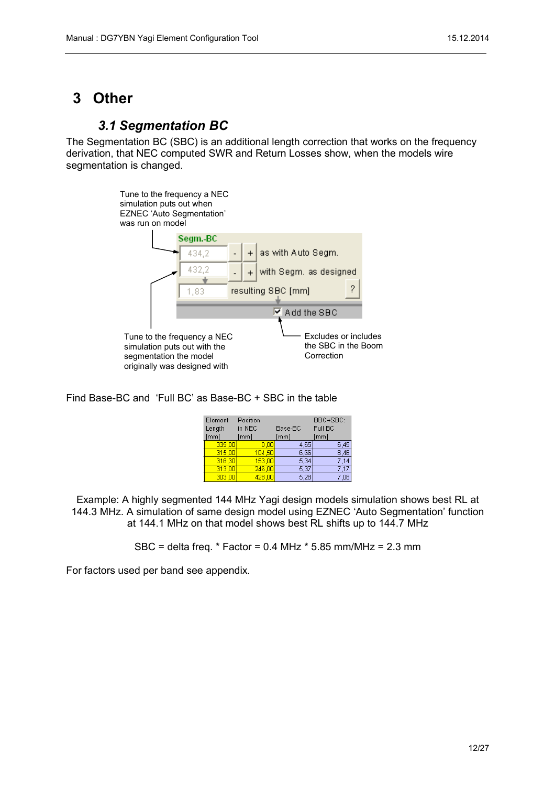# <span id="page-11-1"></span>**3 Other**

## <span id="page-11-0"></span>*3.1 Segmentation BC*

The Segmentation BC (SBC) is an additional length correction that works on the frequency derivation, that NEC computed SWR and Return Losses show, when the models wire segmentation is changed.



Find Base-BC and 'Full BC' as Base-BC + SBC in the table

| Element | Position |         | BBC+SBC: |
|---------|----------|---------|----------|
| Length  | in NEC   | Base-BC | Full BC  |
| [mm]    | [mm]     | [mm]    | [mm]     |
| 335,00  | 0.00     | 4.65    | 6,45     |
| 315,00  | 104,50   | 6.66    | 8.46     |
| 316,30  | 153,00   | 5,34    |          |
| 313,00  | 246,00   | 5.37    |          |
| 303.00  | 428.00   | 5.28    |          |

Example: A highly segmented 144 MHz Yagi design models simulation shows best RL at 144.3 MHz. A simulation of same design model using EZNEC 'Auto Segmentation' function at 144.1 MHz on that model shows best RL shifts up to 144.7 MHz

SBC = delta freq. \* Factor = 0.4 MHz \* 5.85 mm/MHz = 2.3 mm

For factors used per band see appendix.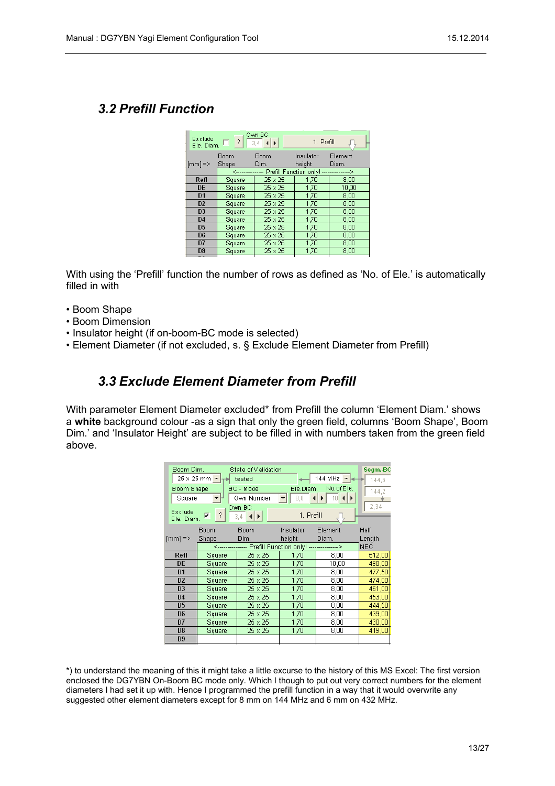#### <span id="page-12-1"></span>*3.2 Prefill Function*

| Exclude:           | $E$ le. Diam. $\Box$ ? | Own BC<br>$\left  \cdot \right $<br>$3.4 -$               | 1. Prefill          |                  |
|--------------------|------------------------|-----------------------------------------------------------|---------------------|------------------|
| $[mm] \Rightarrow$ | Boom<br>Shape          | Boom<br>Dim.                                              | Insulator<br>height | Element<br>Diam. |
|                    |                        | <---------------- Prefill Function only! ---------------> |                     |                  |
| Refl               | Square                 | 25 x 25                                                   | 1,70                | 8,00             |
| <b>DE</b>          | Square                 | 25 x 25                                                   | 1.70                | 10.00            |
| D <sub>1</sub>     | Square                 | 25 x 25                                                   | 1,70                | 8,00             |
| D <sub>2</sub>     | Square                 | 25 x 25                                                   | 1,70                | 8,00             |
| D <sub>3</sub>     | Square                 | 25 x 25                                                   | 1.70                | 8,00             |
| D <sub>4</sub>     | Square                 | 25 x 25                                                   | 1,70                | 8,00             |
| D <sub>5</sub>     | Square                 | 25 x 25                                                   | 1,70                | 8.00             |
| D <sub>6</sub>     | Square                 | 25 x 25                                                   | 1,70                | 8,00             |
| D7                 | Square                 | 25 x 25                                                   | 1,70                | 8,00             |
| D <sub>8</sub>     | Square                 | 25 x 25                                                   | 1,70                | 8,00             |
|                    |                        |                                                           |                     |                  |

With using the 'Prefill' function the number of rows as defined as 'No. of Ele.' is automatically filled in with

- Boom Shape
- Boom Dimension
- Insulator height (if on-boom-BC mode is selected)
- Element Diameter (if not excluded, s. § Exclude Element Diameter from Prefill)

#### <span id="page-12-0"></span>*3.3 Exclude Element Diameter from Prefill*

With parameter Element Diameter excluded\* from Prefill the column 'Element Diam.' shows a **white** background colour -as a sign that only the green field, columns 'Boom Shape', Boom Dim.' and 'Insulator Height' are subject to be filled in with numbers taken from the green field above.

| Boom Dim.                 |                                              | State of Validation                                       |            |                                                            | Segm.-BC   |
|---------------------------|----------------------------------------------|-----------------------------------------------------------|------------|------------------------------------------------------------|------------|
|                           | $25 \times 25$ mm $\leftarrow$ $\rightarrow$ | tested                                                    |            | 144 MHz $\mathbf{H}$                                       | 144.6      |
| <b>Boom Shape</b>         |                                              | BC - Mode                                                 | Ele.Diam.  | No.of Ele.                                                 | 144.2      |
| Square                    |                                              | Own Number                                                |            | $\mathbf{F}$ 8.0 $\mathbf{A}$ 10 $\mathbf{A}$ $\mathbf{F}$ |            |
|                           |                                              | Own BC                                                    |            |                                                            | 2.34       |
| Exclude<br>Ele. Diam.     | $\sqrt{2}$<br>⊽                              | 3.4 $\blacktriangleleft$ $\blacktriangleright$ $\rfloor$  | 1. Prefill |                                                            |            |
|                           | Boom                                         | Boom                                                      | Insulator. | Element                                                    | Half       |
| $\text{[mm]} \Rightarrow$ | Shape                                        | Dim.                                                      | height     | Diam.                                                      | Length     |
|                           |                                              | <---------------- Prefill Function only! ---------------> |            |                                                            | <b>NEC</b> |
| Refl                      | Square                                       | 25 x 25                                                   | 1,70       | 8,00                                                       | 512,00     |
| <b>DE</b>                 | Square                                       | 25 x 25                                                   | 1,70       | 10,00                                                      | 498,00     |
| D1                        | Square                                       | 25 x 25                                                   | 1,70       | 8,00                                                       | 477,50     |
| D <sub>2</sub>            | Square                                       | 25 x 25                                                   | 1,70       | 8,00                                                       | 474,00     |
| D <sub>3</sub>            | Square                                       | 25 x 25                                                   | 1,70       | 8,00                                                       | 461,00     |
| D <sub>4</sub>            | Square                                       | 25 x 25                                                   | 1,70       | 8,00                                                       | 453,00     |
| D <sub>5</sub>            | Square                                       | 25 x 25                                                   | 1,70       | 8,00                                                       | 444,50     |
| D <sub>6</sub>            | Square                                       | 25 x 25                                                   | 1,70       | 8,00                                                       | 439,00     |
| D7                        | Square                                       | 25 x 25                                                   | 1,70       | 8,00                                                       | 430,00     |
| D <sub>8</sub>            | Square                                       | 25 x 25                                                   | 1,70       | 8,00                                                       | 419,00     |
| D <sub>9</sub>            |                                              |                                                           |            |                                                            |            |
|                           |                                              |                                                           |            |                                                            |            |

\*) to understand the meaning of this it might take a little excurse to the history of this MS Excel: The first version enclosed the DG7YBN On-Boom BC mode only. Which I though to put out very correct numbers for the element diameters I had set it up with. Hence I programmed the prefill function in a way that it would overwrite any suggested other element diameters except for 8 mm on 144 MHz and 6 mm on 432 MHz.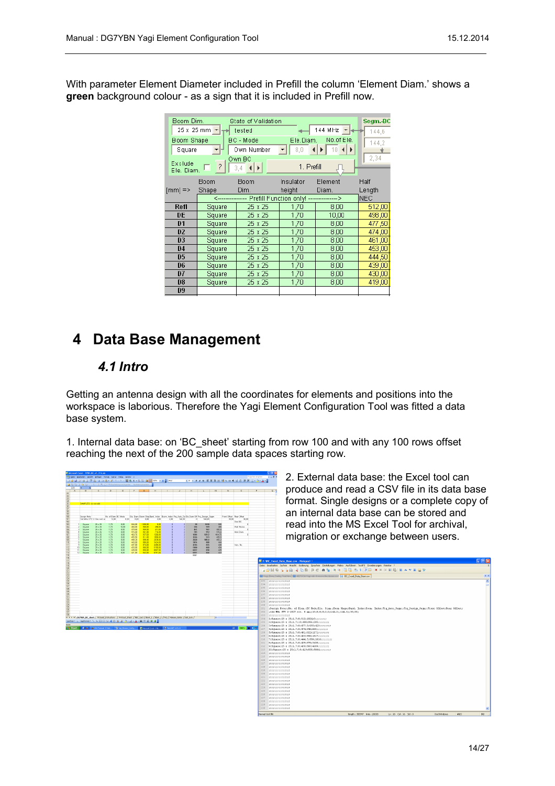With parameter Element Diameter included in Prefill the column 'Element Diam.' shows a **green** background colour - as a sign that it is included in Prefill now.

| Boom Dim.<br><b>Boom Shape</b><br>Square<br>Exclude<br>Ele, Diam. | $25 \times 25$ mm $\leftarrow$ $\rightarrow$<br>$\overline{?}$ | State of Validation<br>tested<br>BC - Mode<br>Own Number<br>Own BC<br>3,4<br>HI E | Ele.Diam.<br>8,0<br>1. Prefill | 144 MHz $\vert$ - $\vert$<br>No.of Ele.<br>$10$ $\blacktriangleleft$ $\blacktriangleright$ | Segm.-BC<br>144.6<br>144.2<br>2,34 |
|-------------------------------------------------------------------|----------------------------------------------------------------|-----------------------------------------------------------------------------------|--------------------------------|--------------------------------------------------------------------------------------------|------------------------------------|
| $[mm] \Rightarrow$                                                | Boom<br>Shape                                                  | Boom<br>Dim.                                                                      | Insulator<br>height            | Element<br>Diam.                                                                           | Half<br>Length                     |
|                                                                   |                                                                | <---------------- Prefill Function only! --------------->                         |                                |                                                                                            | <b>NEC</b>                         |
| Refl                                                              | Square                                                         | 25 x 25                                                                           | 1.70                           | 8,00                                                                                       | 512,00                             |
| DE                                                                | Square                                                         | 25 x 25                                                                           | 1,70                           | 10,00                                                                                      | 498.00                             |
| D <sub>1</sub>                                                    | Square                                                         | 25 x 25                                                                           | 1,70                           | 8,00                                                                                       | 477.50                             |
| D <sub>2</sub>                                                    | Square                                                         | 25 x 25                                                                           | 1,70                           | 8,00                                                                                       | 474,00                             |
| D <sub>3</sub>                                                    | Square                                                         | 25 x 25                                                                           | 1,70                           | 8,00                                                                                       | 461.00                             |
| D <sub>4</sub>                                                    | Square                                                         | 25 x 25                                                                           | 1,70                           | 8,00                                                                                       | 453,00                             |
| D <sub>5</sub>                                                    | Square                                                         | 25 x 25                                                                           | 1,70                           | 8,00                                                                                       | 444.50                             |
| D6                                                                | Square                                                         | 25 x 25                                                                           | 1,70                           | 8,00                                                                                       | 439,00                             |
| D7                                                                | Square                                                         | 25 x 25                                                                           | 1,70                           | 8,00                                                                                       | 430,00                             |
| D <sub>8</sub>                                                    | Square                                                         | 25 x 25                                                                           | 1,70                           | 8,00                                                                                       | 419,00                             |
| D <sub>9</sub>                                                    |                                                                |                                                                                   |                                |                                                                                            |                                    |

# <span id="page-13-1"></span>**4 Data Base Management**

#### <span id="page-13-0"></span>*4.1 Intro*

Getting an antenna design with all the coordinates for elements and positions into the workspace is laborious. Therefore the Yagi Element Configuration Tool was fitted a data base system.

1. Internal data base: on 'BC\_sheet' starting from row 100 and with any 100 rows offset reaching the next of the 200 sample data spaces starting row.

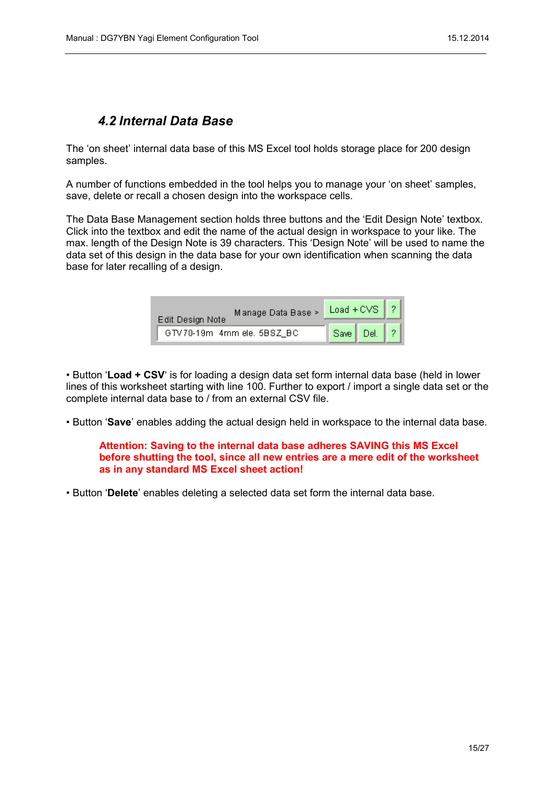#### <span id="page-14-0"></span>*4.2 Internal Data Base*

The 'on sheet' internal data base of this MS Excel tool holds storage place for 200 design samples.

A number of functions embedded in the tool helps you to manage your 'on sheet' samples, save, delete or recall a chosen design into the workspace cells.

The Data Base Management section holds three buttons and the 'Edit Design Note' textbox. Click into the textbox and edit the name of the actual design in workspace to your like. The max. length of the Design Note is 39 characters. This 'Design Note' will be used to name the data set of this design in the data base for your own identification when scanning the data base for later recalling of a design.

| Manage Data Base ><br>Edit Design Note | Load + CVS $\left  \right $ ? |  |
|----------------------------------------|-------------------------------|--|
| GTV 70-19m 4mm ele, 5BSZ_BC            | Save Del.                     |  |

• Button '**Load + CSV**' is for loading a design data set form internal data base (held in lower lines of this worksheet starting with line 100. Further to export / import a single data set or the complete internal data base to / from an external CSV file.

• Button '**Save**' enables adding the actual design held in workspace to the internal data base.

**Attention: Saving to the internal data base adheres SAVING this MS Excel before shutting the tool, since all new entries are a mere edit of the worksheet as in any standard MS Excel sheet action!** 

• Button '**Delete**' enables deleting a selected data set form the internal data base.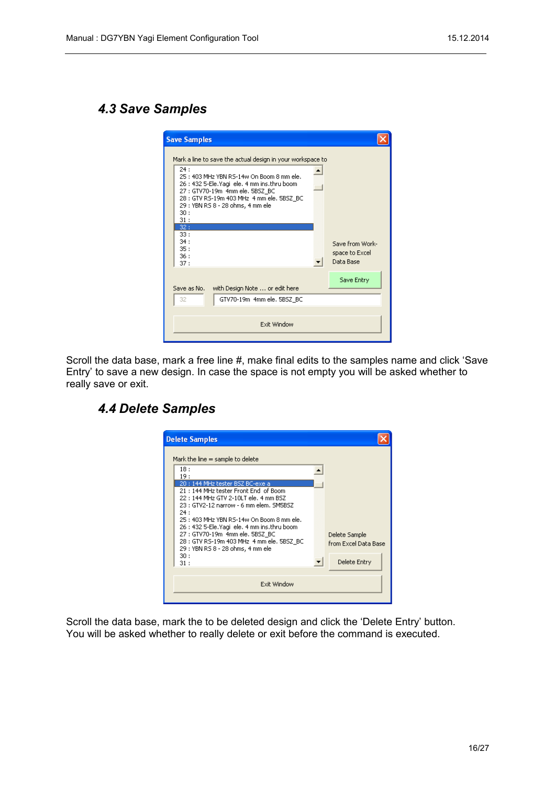## <span id="page-15-1"></span>*4.3 Save Samples*

| <b>Save Samples</b>                                                                                                                                                                                                                                                                                    |  |
|--------------------------------------------------------------------------------------------------------------------------------------------------------------------------------------------------------------------------------------------------------------------------------------------------------|--|
| Mark a line to save the actual design in your workspace to<br>24:<br>25: 403 MHz YBN RS-14w On Boom 8 mm ele.<br>26 : 432 5-Ele.Yaqi ele. 4 mm ins.thru boom<br>27 : GTV70-19m 4mm ele, 5BSZ BC<br>28 : GTV RS-19m 403 MHz 4 mm ele, 5BSZ BC<br>29 : YBN RS 8 - 28 ohms, 4 mm ele<br>30:<br>31:<br>32: |  |
| 33:<br>34:<br>Save from Work-<br>35:<br>space to Excel<br>36:<br>Data Base<br>37:                                                                                                                                                                                                                      |  |
| Save Entry<br>with Design Note  or edit here<br>Save as No.                                                                                                                                                                                                                                            |  |
| GTV70-19m 4mm ele, 5BSZ BC<br>32                                                                                                                                                                                                                                                                       |  |
| Exit Window                                                                                                                                                                                                                                                                                            |  |

Scroll the data base, mark a free line #, make final edits to the samples name and click 'Save Entry' to save a new design. In case the space is not empty you will be asked whether to really save or exit.

## <span id="page-15-0"></span>*4.4 Delete Samples*

| <b>Delete Samples</b>                                                                                                                                                                                                                                                                                               |                                       |
|---------------------------------------------------------------------------------------------------------------------------------------------------------------------------------------------------------------------------------------------------------------------------------------------------------------------|---------------------------------------|
| Mark the line $=$ sample to delete<br>18:<br>19:<br>20 : 144 MHz tester BSZ BC-exe a<br>21:144 MHz tester Front End of Boom<br>22 : 144 MHz GTV 2-10LT ele. 4 mm BSZ<br>23 : GTV2-12 narrow - 6 mm elem. SM5BSZ<br>24 :<br>25 : 403 MHz YBN RS-14w On Boom 8 mm ele.<br>26 : 432 5-Ele.Yaqi ele. 4 mm ins.thru boom |                                       |
| 27 : GTV70-19m 4mm ele, 5BSZ BC<br>28 : GTV R5-19m 403 MHz 4 mm ele, 5BSZ BC<br>29 : YBN RS 8 - 28 ohms, 4 mm ele<br>30:                                                                                                                                                                                            | Delete Sample<br>from Excel Data Base |
| 31:                                                                                                                                                                                                                                                                                                                 | Delete Entry                          |
| Exit Window                                                                                                                                                                                                                                                                                                         |                                       |

Scroll the data base, mark the to be deleted design and click the 'Delete Entry' button. You will be asked whether to really delete or exit before the command is executed.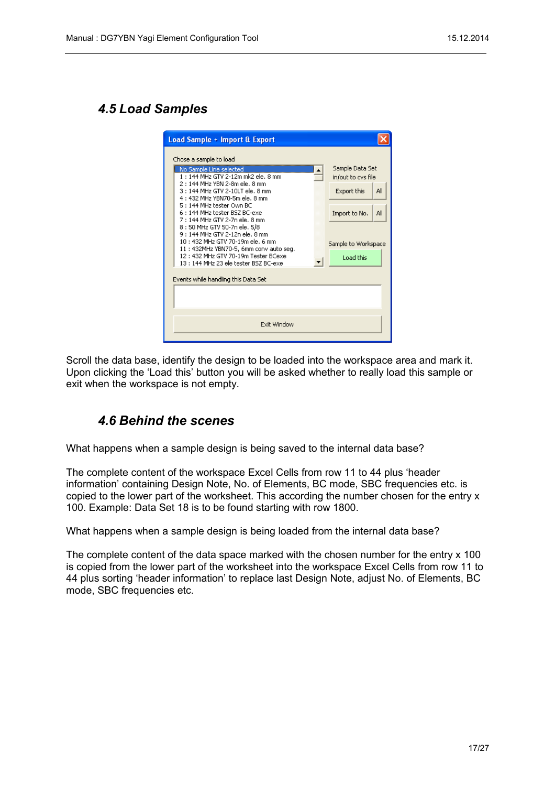#### <span id="page-16-1"></span>*4.5 Load Samples*

| Load Sample + Import & Export                                                                                                                                                                                                                                                                                                                                                                                                                                                                                                                                     |                                                                                                                         |
|-------------------------------------------------------------------------------------------------------------------------------------------------------------------------------------------------------------------------------------------------------------------------------------------------------------------------------------------------------------------------------------------------------------------------------------------------------------------------------------------------------------------------------------------------------------------|-------------------------------------------------------------------------------------------------------------------------|
| Chose a sample to load<br>No Sample Line selected<br>1:144 MHz GTV 2-12m mk2 ele, 8 mm<br>2:144 MHz YBN 2-8m ele, 8 mm<br>3: 144 MHz GTV 2-10LT ele. 8 mm<br>4: 432 MHz YBN70-5m ele, 8 mm<br>5: 144 MHz tester Own BC<br>6 : 144 MHz tester BSZ BC-exel<br>7 : 144 MHz GTV 2-7n ele. 8 mm<br>8 : 50 MHz GTV 50-7n ele, 5/8<br>9 : 144 MHz GTV 2-12n ele. 8 mm<br>10: 432 MHz GTV 70-19m ele. 6 mm<br>11: 432MHz YBN70-5, 6mm conv auto seq.<br>12: 432 MHz GTV 70-19m Tester BCexe<br>13:144 MHz 23 ele tester BSZ BC-exe<br>Events while handling this Data Set | Sample Data Set<br>in/out to cys file<br>Export this<br>All<br>Import to No.<br>All<br>Sample to Workspace<br>Load this |
|                                                                                                                                                                                                                                                                                                                                                                                                                                                                                                                                                                   |                                                                                                                         |
| Exit Window                                                                                                                                                                                                                                                                                                                                                                                                                                                                                                                                                       |                                                                                                                         |
|                                                                                                                                                                                                                                                                                                                                                                                                                                                                                                                                                                   |                                                                                                                         |

Scroll the data base, identify the design to be loaded into the workspace area and mark it. Upon clicking the 'Load this' button you will be asked whether to really load this sample or exit when the workspace is not empty.

## <span id="page-16-0"></span>*4.6 Behind the scenes*

What happens when a sample design is being saved to the internal data base?

The complete content of the workspace Excel Cells from row 11 to 44 plus 'header information' containing Design Note, No. of Elements, BC mode, SBC frequencies etc. is copied to the lower part of the worksheet. This according the number chosen for the entry x 100. Example: Data Set 18 is to be found starting with row 1800.

What happens when a sample design is being loaded from the internal data base?

The complete content of the data space marked with the chosen number for the entry x 100 is copied from the lower part of the worksheet into the workspace Excel Cells from row 11 to 44 plus sorting 'header information' to replace last Design Note, adjust No. of Elements, BC mode, SBC frequencies etc.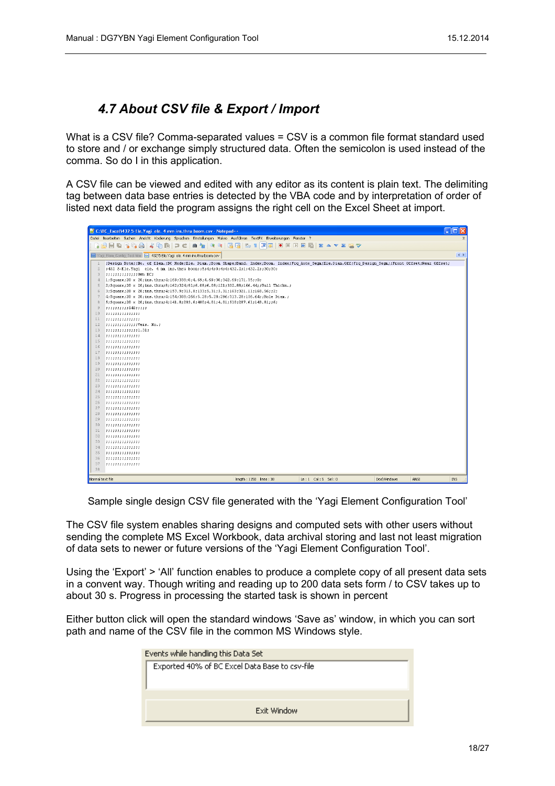## <span id="page-17-0"></span>*4.7 About CSV file & Export / Import*

What is a CSV file? Comma-separated values = CSV is a common file format standard used to store and / or exchange simply structured data. Often the semicolon is used instead of the comma. So do I in this application.

A CSV file can be viewed and edited with any editor as its content is plain text. The delimiting tag between data base entries is detected by the VBA code and by interpretation of order of listed next data field the program assigns the right cell on the Excel Sheet at import.

|                            | C:\BC_Excel\432 5-Ele.Yagi_ele. 4 mm ins.thru boom.csv - Notepad++<br>п                                                                                |
|----------------------------|--------------------------------------------------------------------------------------------------------------------------------------------------------|
|                            | Datei Bearbeiten Suchen Ansicht Kodierung Sprachen Einstellungen Makro Ausführen TextFX Erweiterungen Fenster ?                                        |
| $\circ$                    | ● 9 3 3 日日 5 1 耳回<br><b>NNE XAVER</b><br><b>B</b> G A<br>$\triangle$ the pc $\triangle$<br>$\bullet$ $\Box$<br>由<br>日日                                 |
|                            |                                                                                                                                                        |
|                            | $\leftrightarrow$<br>H Yaqi Elem Confiq Tool.htm   9 432 5-Ele. Yaqi ele. 4 mm ins.thru boom.csv                                                       |
| $\mathbf{1}$               | ;Design Note;;No. of Elem.;BC Mode;Ele. Diam.;Boom Shape;Band. Index;Boom. Index;Frq Auto Segm;Ele.Diam.Off;Frq Design Segm;;Front Offset;Rear Offset; |
| $\overline{c}$             | ;432 5-Ele. Yagi ele. 4 mm ins. thru boom;;5;4;4;0;4;4;432.2;1;432.2;;30;30;                                                                           |
| 3                          | 33333333333330Wm BC:                                                                                                                                   |
| $\mathcal{L}_{\mathbb{R}}$ | 1; Square: 20 x 20; ins. thru; 4; 169; 338; 0; 4, 69; 4, 69; 30; 342, 69; 171, 35; ; 0;                                                                |
| 5.                         | 2;Square;20 x 20;ins.thru;8;162;324;91;6.08;6.08;121;332.88;166.44;;Wall Thickn.;                                                                      |
| 6                          | 3; Square; 20 x 20; ins. thru; 4; 157. 9; 315. 8; 133; 5. 31; 5. 31; 163; 321. 11; 160. 56; ; 2;                                                       |
| 7                          | 4:Square:20 x 20;ins.thru;4;154;308;266;5.28;5.28;296;313.28;156.64;;Hole Diam.;                                                                       |
| 8                          | 5:Square;20 x 20;ins.thru;4;141.8;283.6;480;4.01;4.01;510;287.61;143.81;;6;                                                                            |
| Q                          | ,,,,,,,,,,540,,,,,                                                                                                                                     |
| 10                         | ,,,,,,,,,,,,,,,                                                                                                                                        |
| 11                         | ,,,,,,,,,,,,,,,                                                                                                                                        |
| 12                         | 22222222222227Vers. No.2                                                                                                                               |
| 13                         |                                                                                                                                                        |
| 14                         | ,,,,,,,,,,,,,,,                                                                                                                                        |
| 15                         | ,,,,,,,,,,,,,,,                                                                                                                                        |
| 16                         | ,,,,,,,,,,,,,,,                                                                                                                                        |
| 17                         | ,,,,,,,,,,,,,,,                                                                                                                                        |
| 18                         | ,,,,,,,,,,,,,,,                                                                                                                                        |
| 19                         | ,,,,,,,,,,,,,,,                                                                                                                                        |
| 20 <sub>2</sub>            | ,,,,,,,,,,,,,,,,                                                                                                                                       |
| 21                         | ,,,,,,,,,,,,,,,                                                                                                                                        |
| 22                         | ,,,,,,,,,,,,,,,                                                                                                                                        |
| 23                         | ,,,,,,,,,,,,,,,                                                                                                                                        |
| 24                         | ,,,,,,,,,,,,,,,                                                                                                                                        |
| 25                         | ,,,,,,,,,,,,,,,                                                                                                                                        |
| 26                         | ,,,,,,,,,,,,,,,                                                                                                                                        |
| 27                         | ,,,,,,,,,,,,,,,                                                                                                                                        |
| 28                         | ,,,,,,,,,,,,,,,                                                                                                                                        |
| 29                         | ,,,,,,,,,,,,,,,                                                                                                                                        |
| 30                         | ,,,,,,,,,,,,,,,                                                                                                                                        |
| 31                         | ,,,,,,,,,,,,,,,                                                                                                                                        |
| 32                         | ,,,,,,,,,,,,,,,                                                                                                                                        |
| 33                         | ,,,,,,,,,,,,,,,,                                                                                                                                       |
| 34                         | ,,,,,,,,,,,,,,,                                                                                                                                        |
| 35                         | ,,,,,,,,,,,,,,,                                                                                                                                        |
| 36                         | ,,,,,,,,,,,,,,,                                                                                                                                        |
| 37                         | ,,,,,,,,,,,,,,,                                                                                                                                        |
| 38                         |                                                                                                                                                        |
| Normal text file           | length: 1150 lines: 38<br>$Ln: 1$ Col: 5 Sel: 0<br><b>DostWindows</b><br>ANSI<br>IN <sub>5</sub>                                                       |

Sample single design CSV file generated with the 'Yagi Element Configuration Tool'

The CSV file system enables sharing designs and computed sets with other users without sending the complete MS Excel Workbook, data archival storing and last not least migration of data sets to newer or future versions of the 'Yagi Element Configuration Tool'.

Using the 'Export' > 'All' function enables to produce a complete copy of all present data sets in a convent way. Though writing and reading up to 200 data sets form / to CSV takes up to about 30 s. Progress in processing the started task is shown in percent

Either button click will open the standard windows 'Save as' window, in which you can sort path and name of the CSV file in the common MS Windows style.

| Events while handling this Data Set            |  |  |  |  |  |  |
|------------------------------------------------|--|--|--|--|--|--|
| Exported 40% of BC Excel Data Base to csv-file |  |  |  |  |  |  |
|                                                |  |  |  |  |  |  |
|                                                |  |  |  |  |  |  |
|                                                |  |  |  |  |  |  |
| Exit Window                                    |  |  |  |  |  |  |
|                                                |  |  |  |  |  |  |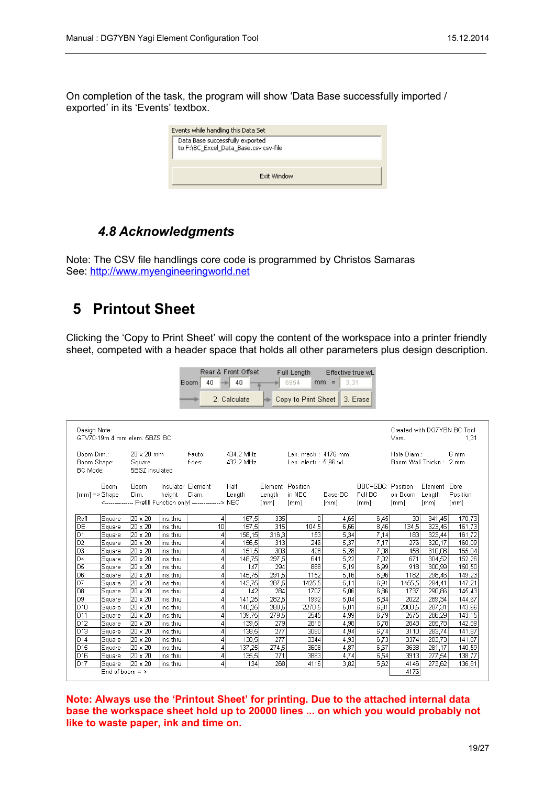On completion of the task, the program will show 'Data Base successfully imported / exported' in its 'Events' textbox.

| Events while handling this Data Set                                      |  |  |  |  |  |  |  |
|--------------------------------------------------------------------------|--|--|--|--|--|--|--|
| Data Base successfully exported<br>to F:\BC_Excel_Data_Base.csv csv-file |  |  |  |  |  |  |  |
|                                                                          |  |  |  |  |  |  |  |
| Exit Window                                                              |  |  |  |  |  |  |  |

## <span id="page-18-1"></span>*4.8 Acknowledgments*

Note: The CSV file handlings core code is programmed by Christos Samaras See: [http://www.myengineeringworld.net](http://www.myengineeringworld.net/)

# <span id="page-18-0"></span>**5 Printout Sheet**

Clicking the 'Copy to Print Sheet' will copy the content of the workspace into a printer friendly sheet, competed with a header space that holds all other parameters plus design description.

Rear & Front Offset Full Length Effective true wL

|                          |                   |                                                              |                      | <b>Boom</b><br>40 |                | 40              |                         | 6954                  | 3,31<br>$mm =$ |                   |                             |                  |                  |
|--------------------------|-------------------|--------------------------------------------------------------|----------------------|-------------------|----------------|-----------------|-------------------------|-----------------------|----------------|-------------------|-----------------------------|------------------|------------------|
|                          |                   |                                                              |                      |                   |                | 2. Calculate    |                         | Copy to Print Sheet   |                | 3. Erase          |                             |                  |                  |
|                          |                   |                                                              |                      |                   |                |                 |                         |                       |                |                   |                             |                  |                  |
|                          |                   |                                                              |                      |                   |                |                 |                         |                       |                |                   |                             |                  |                  |
| Design Note:             |                   |                                                              |                      |                   |                |                 |                         |                       |                |                   | Created with DG7YBN BC Tool |                  |                  |
|                          |                   | GTV70-19m 4 mm elem, 5BZS BC                                 |                      |                   |                |                 |                         |                       |                |                   | Vers.                       |                  | 1.31             |
|                          |                   |                                                              |                      |                   |                |                 |                         |                       |                |                   |                             |                  |                  |
| Boom Dim.:               |                   | 20 x 20 mm                                                   |                      | f-auto:           |                | 434,2 MHz       |                         | Len. mech.: 4176 mm   |                |                   | Hole Diam.:                 |                  | 6 mm             |
| Boom Shape:<br>BC Mode:  |                   | Square<br>5BSZ insulated                                     |                      | f-des:            |                | 432,2 MHz       |                         | Len. electr.: 5,96 wL |                |                   | Boom Wall Thickn.: 2 mm     |                  |                  |
|                          |                   |                                                              |                      |                   |                |                 |                         |                       |                |                   |                             |                  |                  |
|                          | Boom              | Boom.                                                        |                      | Insulator Element |                | Half            | Element Position        |                       |                | BBC+SBC: Position |                             | Element          | Bore             |
| $[mm] \Rightarrow$ Shape |                   | Dim.                                                         | height               | Diam.             |                | Length          | Length                  | in NEC                | Base-BC        | Full BC           | on Boom                     | Length           | Position         |
|                          |                   | <--------------- Prefill Function only! ---------------> NEC |                      |                   |                |                 | [mm]                    | [mm]                  | [mm]           | [mm]              | [mm]                        | [mm]             | [mm]             |
|                          |                   |                                                              |                      |                   |                |                 |                         |                       |                |                   |                             |                  |                  |
| Refl                     | <b>Square</b>     | 20 x 20                                                      | ins.thru             |                   | 4<br>10        | 167,5           | 335<br>$\overline{315}$ | $\Omega$              | 4,65           | 6.45              | 30                          | 341,45           | 170,73           |
| IDЕ<br>D1                | Square            | 20 x 20                                                      | ins.thru<br>ins.thru |                   |                | 157,5           | 316.3                   | 104,5<br>153          | 6,66           | 8,46              | 134,5<br>183                | 323,46           | 161,73           |
| D2                       | Square<br>Square  | 20 x 20<br>20 x 20                                           | ins.thru             |                   | 4<br>4         | 158,15<br>156,5 | 313                     | 246                   | 5,34<br>5,37   | 7,14<br>7.17      | 276                         | 323,44<br>320,17 | 161,72<br>160,09 |
| D <sub>3</sub>           | Square            | 20 x 20                                                      | ins.thru             |                   | 4              | 151,5           | $\overline{303}$        | 428                   | 5,28           | 7.08              | 458                         | 310,08           | 155,04           |
| D <sub>4</sub>           | Square            | 20 x 20                                                      | ins.thru             |                   | 4              | 148.75          | 297,5                   | 641                   | 5,22           | 7.02              | 671                         | 304,52           | 152,26           |
| $\overline{D5}$          | Square            | 20 x 20                                                      | ins.thru             |                   | 4              | 147             | 294                     | 888                   | 5,19           | 6.99              | 918                         | 300.99           | 150,50           |
| D <sub>6</sub>           | Square            | 20 x 20                                                      | ins.thru             |                   | 4              | 145.75          | 291,5                   | 1152                  | 5.16           | 6.96              | 1182                        | 298.46           | 149,23           |
| D7                       | Square            | 20 x 20                                                      | ins.thru             |                   | 4              | 143.75          | 287,5                   | 1425,5                | 5.11           | 6.91              | 1455,5                      | 294.41           | 147,21           |
| D <sub>8</sub>           | Square            | 20 x 20                                                      | ins.thru             |                   | 4              | 142             | 284                     | 1707                  | 5,06           | 6,86              | 1737                        | 290,86           | 145,43           |
| D <sub>9</sub>           | Square            | 20 x 20                                                      | ins.thru             |                   | 4              | 141,25          | 282,5                   | 1992                  | 5.04           | 6,84              | 2022                        | 289.34           | 144,67           |
| D <sub>10</sub>          | Square            | 20 x 20                                                      | ins.thru             |                   | 4              | 140,25          | 280,5                   | 2270,5                | 5,01           | 6,81              | 2300,5                      | 287,31           | 143,66           |
| D11                      | Square            | 20 x 20                                                      | ins.thru             |                   | 4              | 139,75          | 279,5                   | 2545                  | 4,99           | 6,79              | 2575                        | 286,29           | 143,15           |
| D <sub>12</sub>          | Square            | 20 x 20                                                      | ins.thru             |                   | 4              | 139,5           | 279                     | 2818                  | 4,98           | 6,78              | 2848                        | 285,78           | 142,89           |
| D13                      | Square            | 20 x 20                                                      | ins.thru             |                   | 4              | 138,5           | 277                     | 3080                  | 4,94           | 6,74              | 3110                        | 283,74           | 141,87           |
| D <sub>14</sub>          | Square            | 20 x 20                                                      | ins.thru             |                   | 4              | 138,5           | 277                     | 3344                  | 4,93           | 6,73              | 3374                        | 283,73           | 141,87           |
| D <sub>15</sub>          | Square            | 20 x 20                                                      | ins.thru             |                   | 4              | 137,25          | 274,5                   | 3608                  | 4,87           | 6,67              | 3638                        | 281,17           | 140,59           |
| D <sub>16</sub>          | Square            | 20 x 20                                                      | ins.thru             |                   | 4              | 135,5           | 271                     | 3883                  | 4,74           | 6,54              | 3913                        | 277,54           | 138,77           |
| D17                      | Square            | 20 x 20                                                      | ins.thru             |                   | $\overline{4}$ | 134             | 268                     | 4116                  | 3,82           | 5,62              | 4146                        | 273,62           | 136,81           |
|                          | End of boom $=$ > |                                                              |                      |                   |                |                 |                         |                       |                |                   | 4176                        |                  |                  |

**Note: Always use the 'Printout Sheet' for printing. Due to the attached internal data base the workspace sheet hold up to 20000 lines ... on which you would probably not like to waste paper, ink and time on.**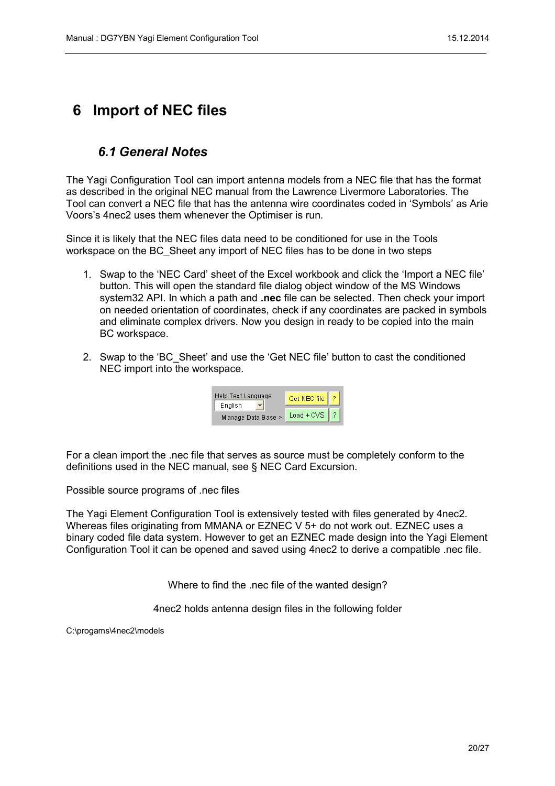# <span id="page-19-1"></span>**6 Import of NEC files**

#### <span id="page-19-0"></span>*6.1 General Notes*

The Yagi Configuration Tool can import antenna models from a NEC file that has the format as described in the original NEC manual from the Lawrence Livermore Laboratories. The Tool can convert a NEC file that has the antenna wire coordinates coded in 'Symbols' as Arie Voors's 4nec2 uses them whenever the Optimiser is run.

Since it is likely that the NEC files data need to be conditioned for use in the Tools workspace on the BC\_Sheet any import of NEC files has to be done in two steps

- 1. Swap to the 'NEC Card' sheet of the Excel workbook and click the 'Import a NEC file' button. This will open the standard file dialog object window of the MS Windows system32 API. In which a path and **.nec** file can be selected. Then check your import on needed orientation of coordinates, check if any coordinates are packed in symbols and eliminate complex drivers. Now you design in ready to be copied into the main BC workspace.
- 2. Swap to the 'BC\_Sheet' and use the 'Get NEC file' button to cast the conditioned NEC import into the workspace.

| Help Text Language<br>English | Get NEC file |  |
|-------------------------------|--------------|--|
| Manage Data Base >            | $Load + CVS$ |  |

For a clean import the .nec file that serves as source must be completely conform to the definitions used in the NEC manual, see § NEC Card Excursion.

Possible source programs of .nec files

The Yagi Element Configuration Tool is extensively tested with files generated by 4nec2. Whereas files originating from MMANA or EZNEC V 5+ do not work out. EZNEC uses a binary coded file data system. However to get an EZNEC made design into the Yagi Element Configuration Tool it can be opened and saved using 4nec2 to derive a compatible .nec file.

Where to find the .nec file of the wanted design?

4nec2 holds antenna design files in the following folder

C:\progams\4nec2\models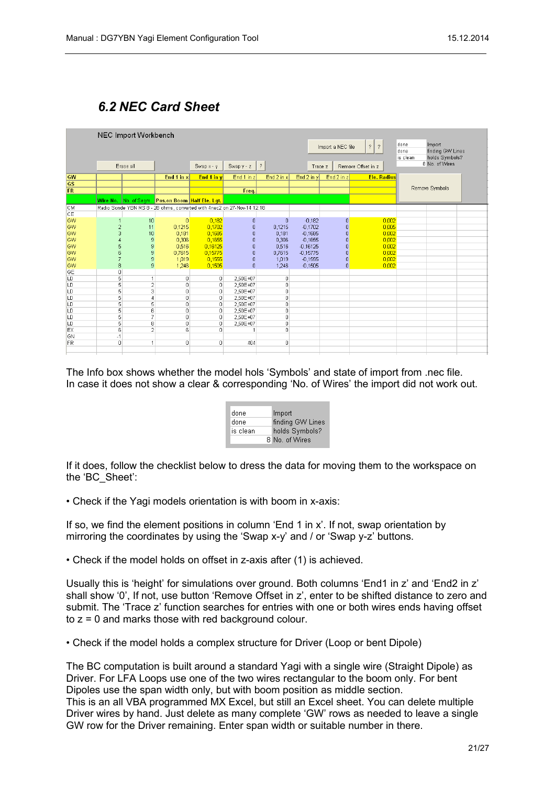## <span id="page-20-0"></span>*6.2 NEC Card Sheet*

|           | NEC Import Workbench<br>$\mathbb{R}$<br>$\overline{\phantom{0}}$<br>Import a NEC file |                |                                                                         |              |                |                |            |                |                    | done<br>Import<br>done<br>finding GW Lines   |  |  |
|-----------|---------------------------------------------------------------------------------------|----------------|-------------------------------------------------------------------------|--------------|----------------|----------------|------------|----------------|--------------------|----------------------------------------------|--|--|
|           |                                                                                       | Erase all      |                                                                         | Swap $x - y$ | Swap $y - z$   | $\vert$ ?      | Trace z    |                | Remove Offset in z | holds Symbols?<br>is clean<br>8 No. of Wires |  |  |
| GW        |                                                                                       |                | End 1 in x                                                              |              | End 1 in z     | End 2 in x     |            | End 2 in z     | <b>Ele, Radius</b> |                                              |  |  |
| <b>GS</b> |                                                                                       |                |                                                                         | End 1 in y   |                |                | End 2 in y |                |                    |                                              |  |  |
| <b>FR</b> |                                                                                       |                |                                                                         |              | Freq.          |                |            |                |                    | Remove Symbols                               |  |  |
|           |                                                                                       |                |                                                                         |              |                |                |            |                |                    |                                              |  |  |
|           |                                                                                       |                | Wire No. No. of Segm. Pos.on Boom Half Ele. Lgt.                        |              |                |                |            |                |                    |                                              |  |  |
| <b>CM</b> |                                                                                       |                | Radio Sonde YBN RS 8 - 28 ohms, converted with 4nec2 on 27-Nov-14 12:18 |              |                |                |            |                |                    |                                              |  |  |
| CE        |                                                                                       |                |                                                                         |              |                |                |            |                |                    |                                              |  |  |
| GW        |                                                                                       | 10             | $\overline{0}$                                                          | 0,182        | $\mathbf 0$    | $\mathbf{0}$   | $-0,182$   | 0              | 0,002              |                                              |  |  |
| GW        | $\overline{2}$                                                                        | 11             | 0,1215                                                                  | 0,1702       | $\overline{0}$ | 0,1215         | $-0,1702$  | 0              | 0,005              |                                              |  |  |
| GW        | ß                                                                                     | 10             | 0,181                                                                   | 0,1685       | $\Box$         | 0,181          | $-0,1685$  | Ō              | 0,002              |                                              |  |  |
| GW        |                                                                                       | $\mathsf g$    | 0,306                                                                   | 0,1655       | $\mathbf{0}$   | 0,306          | $-0.1655$  | ō              | 0,002              |                                              |  |  |
| <b>GW</b> | 5                                                                                     | $\frac{9}{9}$  | 0,516                                                                   | 0,16125      | $\mathbf 0$    | 0.516          | $-0.16125$ | $\overline{0}$ | 0,002              |                                              |  |  |
| <b>GW</b> | 6                                                                                     |                | 0.7615                                                                  | 0.15775      | $\overline{0}$ | 0.7615         | $-0.15775$ | $\overline{0}$ | 0.002              |                                              |  |  |
| GW        | 7                                                                                     | 9              | 1,019                                                                   | 0.1555       | $\mathbf 0$    | 1,019          | $-0,1555$  | $\overline{0}$ | 0,002              |                                              |  |  |
| GW        | 8                                                                                     | 9              | 1.246                                                                   | 0.1505       | $\mathbf{0}$   | 1.246          | $-0.1505$  | $\overline{0}$ | 0,002              |                                              |  |  |
| GE        | 0                                                                                     |                |                                                                         |              |                |                |            |                |                    |                                              |  |  |
| LD        | 5                                                                                     |                | 0                                                                       | 0            | 2,50E+07       | 0              |            |                |                    |                                              |  |  |
| LD        | 5                                                                                     | $\overline{2}$ | 0                                                                       | 0            | 2,50E+07       | $\Box$         |            |                |                    |                                              |  |  |
| LD        | 5                                                                                     | 3              | $\Omega$                                                                | 0            | 2.50E+07       | 0              |            |                |                    |                                              |  |  |
| LD        | 5                                                                                     | 4              | 0                                                                       | 0            | 2,50E+07       | $\overline{0}$ |            |                |                    |                                              |  |  |
| LD        | 5                                                                                     | 5              | $\Omega$                                                                | $\Box$       | 2.50E+07       | $\Box$         |            |                |                    |                                              |  |  |
| LD        | 5                                                                                     | 6              | 0                                                                       | 0            | 2,50E+07       | 0              |            |                |                    |                                              |  |  |
| LD        | 5                                                                                     | $\overline{7}$ | 0                                                                       | 0            | 2,50E+07       | 0              |            |                |                    |                                              |  |  |
| LD        | 5                                                                                     | 8              | 0                                                                       | 0            | 2,50E+07       | 0              |            |                |                    |                                              |  |  |
| EX        | 6                                                                                     | $\overline{2}$ | ĥ                                                                       | n            |                | $\Box$         |            |                |                    |                                              |  |  |
| GN        | $-1$                                                                                  |                |                                                                         |              |                |                |            |                |                    |                                              |  |  |
| FR        | 0                                                                                     | $\overline{a}$ | $\Omega$                                                                | $\Omega$     | 404            | $\mathbf{0}$   |            |                |                    |                                              |  |  |
|           |                                                                                       |                |                                                                         |              |                |                |            |                |                    |                                              |  |  |

The Info box shows whether the model hols 'Symbols' and state of import from .nec file. In case it does not show a clear & corresponding 'No. of Wires' the import did not work out.

| done     | Import           |
|----------|------------------|
| done     | finding GW Lines |
| is clean | holds Symbols?   |
|          | 8 No. of Wires   |

If it does, follow the checklist below to dress the data for moving them to the workspace on the 'BC\_Sheet':

• Check if the Yagi models orientation is with boom in x-axis:

If so, we find the element positions in column 'End 1 in x'. If not, swap orientation by mirroring the coordinates by using the 'Swap x-y' and / or 'Swap y-z' buttons.

• Check if the model holds on offset in z-axis after (1) is achieved.

Usually this is 'height' for simulations over ground. Both columns 'End1 in z' and 'End2 in z' shall show '0', If not, use button 'Remove Offset in z', enter to be shifted distance to zero and submit. The 'Trace z' function searches for entries with one or both wires ends having offset to z = 0 and marks those with red background colour.

• Check if the model holds a complex structure for Driver (Loop or bent Dipole)

The BC computation is built around a standard Yagi with a single wire (Straight Dipole) as Driver. For LFA Loops use one of the two wires rectangular to the boom only. For bent Dipoles use the span width only, but with boom position as middle section. This is an all VBA programmed MX Excel, but still an Excel sheet. You can delete multiple Driver wires by hand. Just delete as many complete 'GW' rows as needed to leave a single GW row for the Driver remaining. Enter span width or suitable number in there.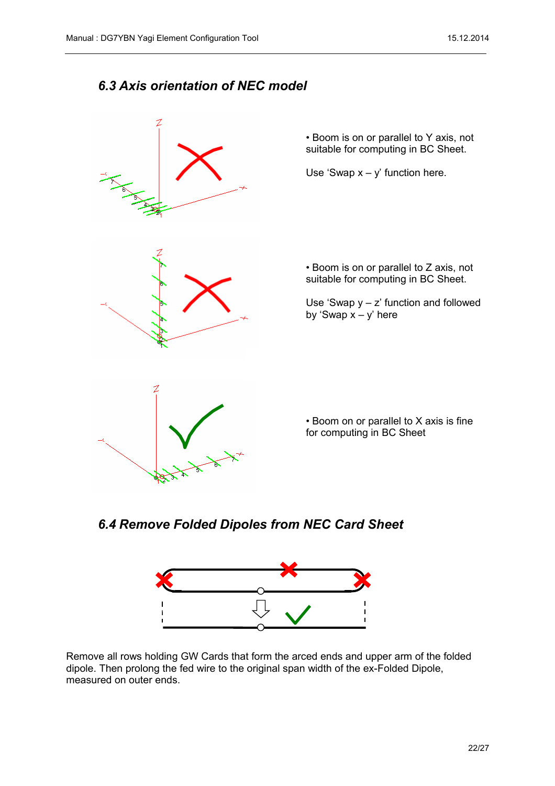#### <span id="page-21-1"></span>*6.3 Axis orientation of NEC model*



• Boom is on or parallel to Y axis, not suitable for computing in BC Sheet.

Use 'Swap  $x - y$ ' function here.

• Boom is on or parallel to Z axis, not suitable for computing in BC Sheet.

Use 'Swap  $y - z$ ' function and followed by 'Swap  $x - y'$  here

• Boom on or parallel to X axis is fine for computing in BC Sheet

<span id="page-21-0"></span>*6.4 Remove Folded Dipoles from NEC Card Sheet*



Remove all rows holding GW Cards that form the arced ends and upper arm of the folded dipole. Then prolong the fed wire to the original span width of the ex-Folded Dipole, measured on outer ends.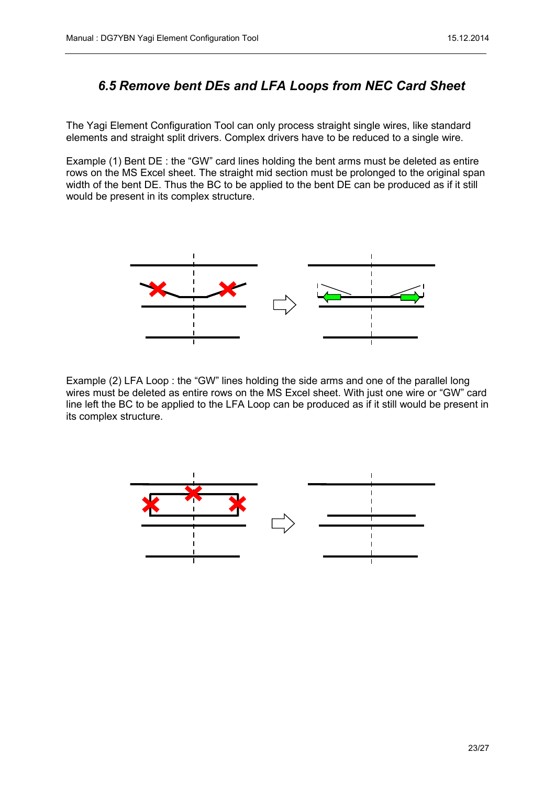## <span id="page-22-0"></span>*6.5 Remove bent DEs and LFA Loops from NEC Card Sheet*

The Yagi Element Configuration Tool can only process straight single wires, like standard elements and straight split drivers. Complex drivers have to be reduced to a single wire.

Example (1) Bent DE : the "GW" card lines holding the bent arms must be deleted as entire rows on the MS Excel sheet. The straight mid section must be prolonged to the original span width of the bent DE. Thus the BC to be applied to the bent DE can be produced as if it still would be present in its complex structure.



Example (2) LFA Loop : the "GW" lines holding the side arms and one of the parallel long wires must be deleted as entire rows on the MS Excel sheet. With just one wire or "GW" card line left the BC to be applied to the LFA Loop can be produced as if it still would be present in its complex structure.

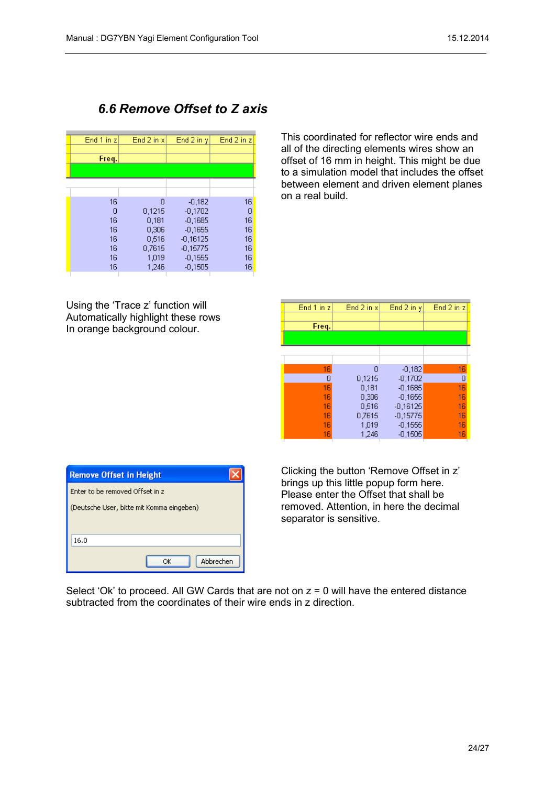## <span id="page-23-0"></span>*6.6 Remove Offset to Z axis*

| End $2$ in $x$ | End 2 in y     | End 2 in z              |
|----------------|----------------|-------------------------|
|                |                |                         |
|                |                |                         |
|                |                |                         |
| Ω              | $-0,182$       | 16                      |
| 0,1215         | $-0,1702$      | 0                       |
| 0.181          | $-0.1685$      | 16                      |
|                |                | 16                      |
|                |                | 16                      |
| 0.7615         | $-0.15775$     | 16                      |
| 1,019          | $-0,1555$      | 16                      |
| 1,246          | $-0.1505$      | 16                      |
|                | 0,306<br>0.516 | $-0.1655$<br>$-0.16125$ |

Using the 'Trace z' function will Automatically highlight these rows In orange background colour.

This coordinated for reflector wire ends and all of the directing elements wires show an offset of 16 mm in height. This might be due to a simulation model that includes the offset between element and driven element planes on a real build.

| End 1 in z | End 2 in $x$ | End 2 in y | End 2 in z |
|------------|--------------|------------|------------|
|            |              |            |            |
| Freq.      |              |            |            |
|            |              |            |            |
|            |              |            |            |
|            |              |            |            |
| 16         | Ω            | $-0,182$   | 16         |
| 0          | 0,1215       | $-0,1702$  | 0          |
| 16         | 0,181        | $-0,1685$  | 16         |
| 16         | 0,306        | $-0,1655$  | 16         |
| 16         | 0,516        | $-0,16125$ | 16         |
| 16         | 0.7615       | $-0,15775$ | 16         |
| 16         | 1,019        | $-0,1555$  | 16         |
| 16         | 1,246        | $-0,1505$  | 16         |

| <b>Remove Offset in Height</b>            |           |  |  |  |  |  |  |
|-------------------------------------------|-----------|--|--|--|--|--|--|
| Enter to be removed Offset in z           |           |  |  |  |  |  |  |
| (Deutsche User, bitte mit Komma eingeben) |           |  |  |  |  |  |  |
|                                           |           |  |  |  |  |  |  |
| 16.0                                      |           |  |  |  |  |  |  |
| ОΚ                                        | Abbrechen |  |  |  |  |  |  |

Clicking the button 'Remove Offset in z' brings up this little popup form here. Please enter the Offset that shall be removed. Attention, in here the decimal separator is sensitive.

Select 'Ok' to proceed. All GW Cards that are not on  $z = 0$  will have the entered distance subtracted from the coordinates of their wire ends in z direction.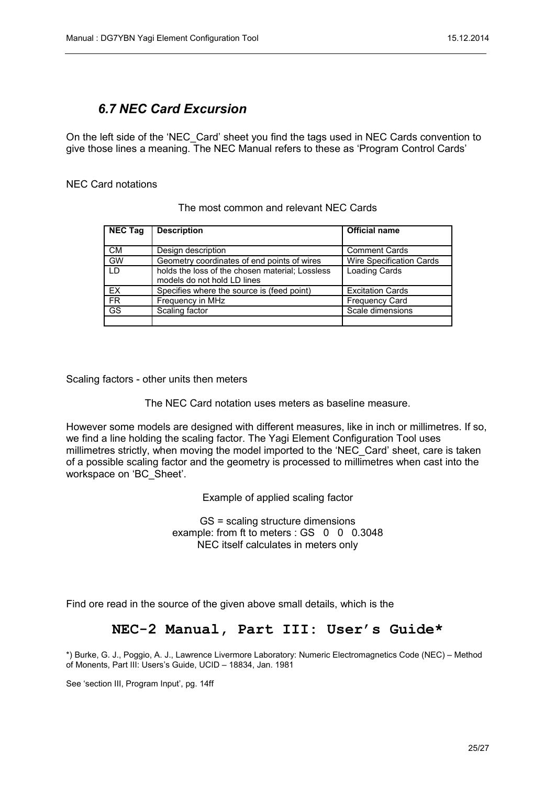## <span id="page-24-0"></span>*6.7 NEC Card Excursion*

On the left side of the 'NEC\_Card' sheet you find the tags used in NEC Cards convention to give those lines a meaning. The NEC Manual refers to these as 'Program Control Cards'

#### NEC Card notations

| <b>NEC Tag</b> | <b>Description</b>                              | <b>Official name</b>            |
|----------------|-------------------------------------------------|---------------------------------|
|                |                                                 |                                 |
| <b>CM</b>      | Design description                              | <b>Comment Cards</b>            |
| <b>GW</b>      | Geometry coordinates of end points of wires     | <b>Wire Specification Cards</b> |
| I D            | holds the loss of the chosen material; Lossless | <b>Loading Cards</b>            |
|                | models do not hold LD lines                     |                                 |
| EX             | Specifies where the source is (feed point)      | <b>Excitation Cards</b>         |
| <b>FR</b>      | Frequency in MHz                                | <b>Frequency Card</b>           |
| <b>GS</b>      | Scaling factor                                  | Scale dimensions                |
|                |                                                 |                                 |

#### The most common and relevant NEC Cards

Scaling factors - other units then meters

The NEC Card notation uses meters as baseline measure.

However some models are designed with different measures, like in inch or millimetres. If so, we find a line holding the scaling factor. The Yagi Element Configuration Tool uses millimetres strictly, when moving the model imported to the 'NEC\_Card' sheet, care is taken of a possible scaling factor and the geometry is processed to millimetres when cast into the workspace on 'BC\_Sheet'.

Example of applied scaling factor

GS = scaling structure dimensions example: from ft to meters : GS 0 0 0.3048 NEC itself calculates in meters only

Find ore read in the source of the given above small details, which is the

#### **NEC-2 Manual, Part III: User's Guide\***

\*) Burke, G. J., Poggio, A. J., Lawrence Livermore Laboratory: Numeric Electromagnetics Code (NEC) – Method of Monents, Part III: Users's Guide, UCID – 18834, Jan. 1981

See 'section III, Program Input', pg. 14ff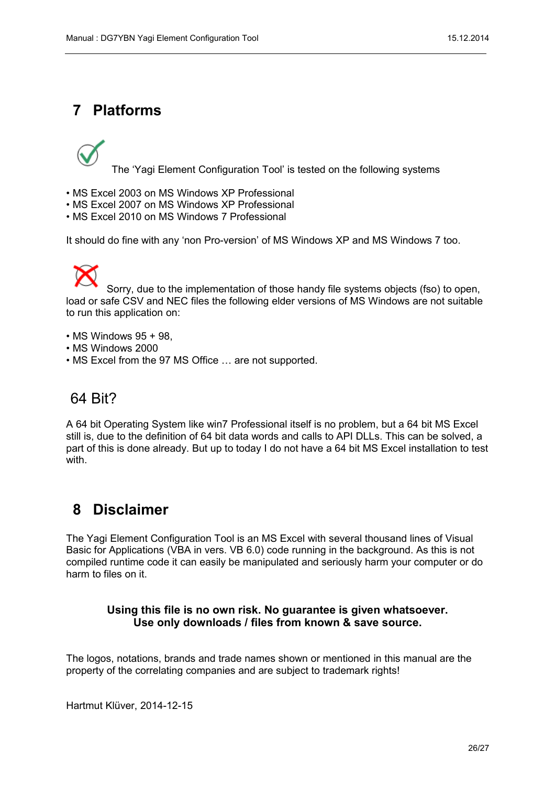# <span id="page-25-1"></span>**7 Platforms**



The 'Yagi Element Configuration Tool' is tested on the following systems

- MS Excel 2003 on MS Windows XP Professional
- MS Excel 2007 on MS Windows XP Professional
- MS Excel 2010 on MS Windows 7 Professional

It should do fine with any 'non Pro-version' of MS Windows XP and MS Windows 7 too.

Sorry, due to the implementation of those handy file systems objects (fso) to open, load or safe CSV and NEC files the following elder versions of MS Windows are not suitable to run this application on:

- $\cdot$  MS Windows 95 + 98,
- MS Windows 2000
- MS Excel from the 97 MS Office … are not supported.

# 64 Bit?

A 64 bit Operating System like win7 Professional itself is no problem, but a 64 bit MS Excel still is, due to the definition of 64 bit data words and calls to API DLLs. This can be solved, a part of this is done already. But up to today I do not have a 64 bit MS Excel installation to test with.

# <span id="page-25-0"></span>**8 Disclaimer**

The Yagi Element Configuration Tool is an MS Excel with several thousand lines of Visual Basic for Applications (VBA in vers. VB 6.0) code running in the background. As this is not compiled runtime code it can easily be manipulated and seriously harm your computer or do harm to files on it.

#### **Using this file is no own risk. No guarantee is given whatsoever. Use only downloads / files from known & save source.**

The logos, notations, brands and trade names shown or mentioned in this manual are the property of the correlating companies and are subject to trademark rights!

Hartmut Klüver, 2014-12-15